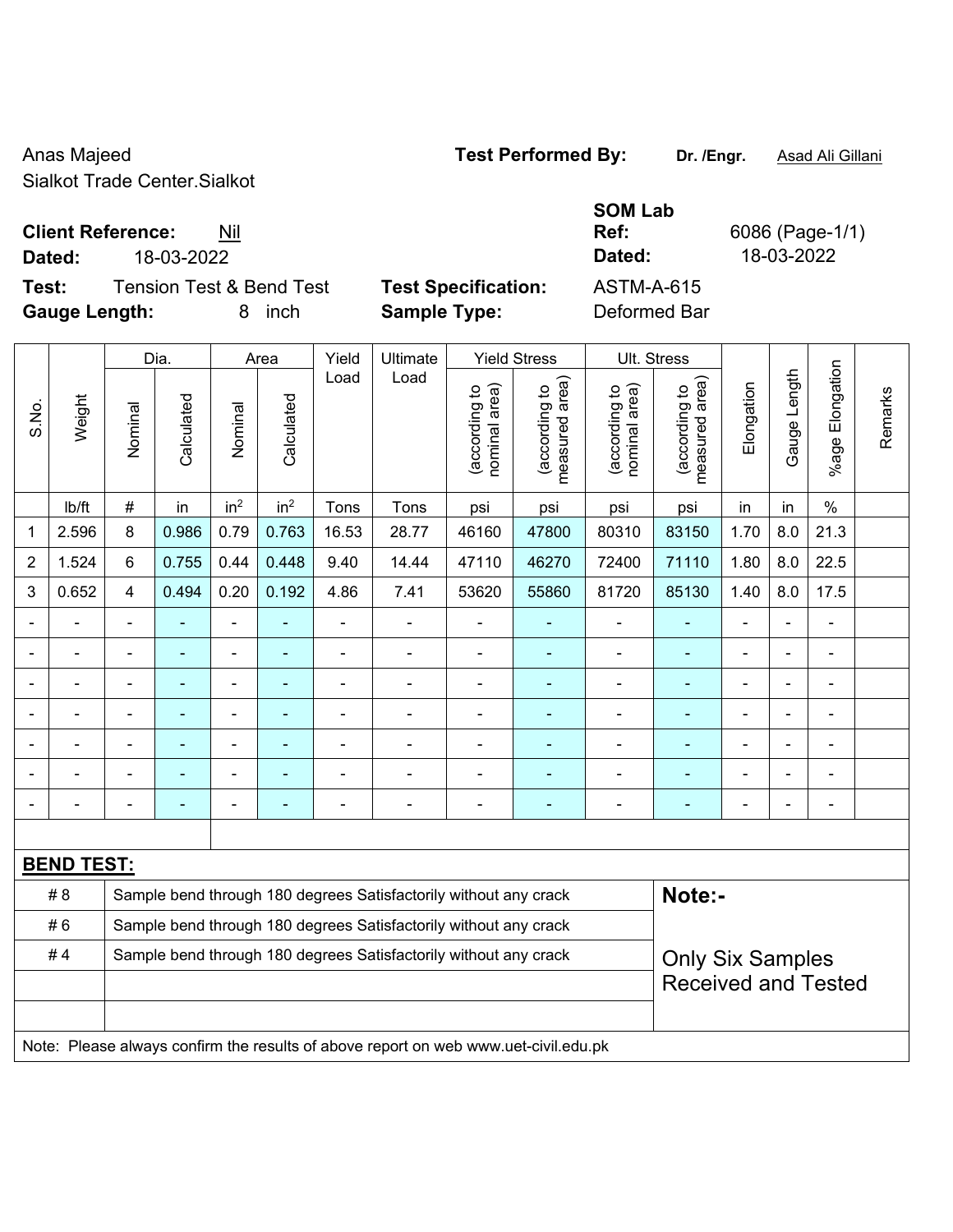Anas Majeed **Test Performed By:** Dr. /Engr. **Asad Ali Gillani** Anas Majeed Sialkot Trade Center.Sialkot

**Client Reference:** Nil

**Test:** Tension Test & Bend Test **Test Specification:** ASTM-A-615 **Gauge Length:** 8 inch **Sample Type:** Deformed Bar

**Ref:** 6086 (Page-1/1) **Dated:** 18-03-2022 **Dated:** 18-03-2022

|                |                   |                                                                  | Dia.       |                              | Area                     | Yield          | Ultimate                                                                            |                                | <b>Yield Stress</b>             |                                | Ult. Stress                        |                          |                |                              |         |
|----------------|-------------------|------------------------------------------------------------------|------------|------------------------------|--------------------------|----------------|-------------------------------------------------------------------------------------|--------------------------------|---------------------------------|--------------------------------|------------------------------------|--------------------------|----------------|------------------------------|---------|
| S.No.          | Weight            | Nominal                                                          | Calculated | Nominal                      | Calculated               | Load           | Load                                                                                | nominal area)<br>(according to | (according to<br>measured area) | (according to<br>nominal area) | area)<br>(according to<br>measured | Elongation               | Gauge Length   | Elongation<br>%age           | Remarks |
|                | lb/ft             | $\#$                                                             | in         | in <sup>2</sup>              | in <sup>2</sup>          | Tons           | Tons                                                                                | psi                            | psi                             | psi                            | psi                                | in                       | in             | $\%$                         |         |
| 1              | 2.596             | 8                                                                | 0.986      | 0.79                         | 0.763                    | 16.53          | 28.77                                                                               | 46160                          | 47800                           | 80310                          | 83150                              | 1.70                     | 8.0            | 21.3                         |         |
| $\overline{2}$ | 1.524             | $6\phantom{1}$                                                   | 0.755      | 0.44                         | 0.448                    | 9.40           | 14.44                                                                               | 47110                          | 46270                           | 72400                          | 71110                              | 1.80                     | 8.0            | 22.5                         |         |
| $\mathfrak{B}$ | 0.652             | $\overline{4}$                                                   | 0.494      | 0.20                         | 0.192                    | 4.86           | 7.41                                                                                | 53620                          | 55860                           | 81720                          | 85130                              | 1.40                     | 8.0            | 17.5                         |         |
|                |                   |                                                                  |            |                              |                          |                |                                                                                     |                                |                                 |                                |                                    |                          |                |                              |         |
|                |                   | $\blacksquare$                                                   |            | $\blacksquare$               | $\blacksquare$           | ÷              | ä,                                                                                  | $\blacksquare$                 | ٠                               | $\overline{a}$                 | $\blacksquare$                     | $\blacksquare$           |                | $\overline{\phantom{a}}$     |         |
|                |                   | $\blacksquare$                                                   |            | $\qquad \qquad \blacksquare$ | $\overline{\phantom{0}}$ | $\blacksquare$ | ÷                                                                                   | $\blacksquare$                 | ۰                               | $\overline{\phantom{a}}$       | $\blacksquare$                     | $\overline{a}$           | $\blacksquare$ | $\qquad \qquad \blacksquare$ |         |
|                |                   | $\blacksquare$                                                   | ÷          | $\blacksquare$               | $\blacksquare$           | $\blacksquare$ | ä,                                                                                  | $\blacksquare$                 | ٠                               | $\blacksquare$                 | $\blacksquare$                     | $\blacksquare$           |                | $\overline{\phantom{a}}$     |         |
|                |                   |                                                                  |            |                              |                          |                | $\blacksquare$                                                                      |                                |                                 | $\blacksquare$                 | $\blacksquare$                     |                          |                | ä,                           |         |
|                |                   |                                                                  |            |                              |                          |                | ä,                                                                                  |                                |                                 |                                |                                    |                          |                | ÷                            |         |
|                |                   | ٠                                                                |            | ÷                            | ۳                        |                | ÷                                                                                   | $\blacksquare$                 | ۰                               | $\blacksquare$                 |                                    | $\overline{\phantom{0}}$ |                | ä,                           |         |
|                |                   |                                                                  |            |                              |                          |                |                                                                                     |                                |                                 |                                |                                    |                          |                |                              |         |
|                | <b>BEND TEST:</b> |                                                                  |            |                              |                          |                |                                                                                     |                                |                                 |                                |                                    |                          |                |                              |         |
|                | #8                |                                                                  |            |                              |                          |                | Sample bend through 180 degrees Satisfactorily without any crack                    |                                |                                 |                                | Note:-                             |                          |                |                              |         |
|                | #6                | Sample bend through 180 degrees Satisfactorily without any crack |            |                              |                          |                |                                                                                     |                                |                                 |                                |                                    |                          |                |                              |         |
|                | #4                |                                                                  |            |                              |                          |                | Sample bend through 180 degrees Satisfactorily without any crack                    |                                |                                 |                                | <b>Only Six Samples</b>            |                          |                |                              |         |
|                |                   | <b>Received and Tested</b>                                       |            |                              |                          |                |                                                                                     |                                |                                 |                                |                                    |                          |                |                              |         |
|                |                   |                                                                  |            |                              |                          |                |                                                                                     |                                |                                 |                                |                                    |                          |                |                              |         |
|                |                   |                                                                  |            |                              |                          |                | Note: Please always confirm the results of above report on web www.uet-civil.edu.pk |                                |                                 |                                |                                    |                          |                |                              |         |

**SOM Lab**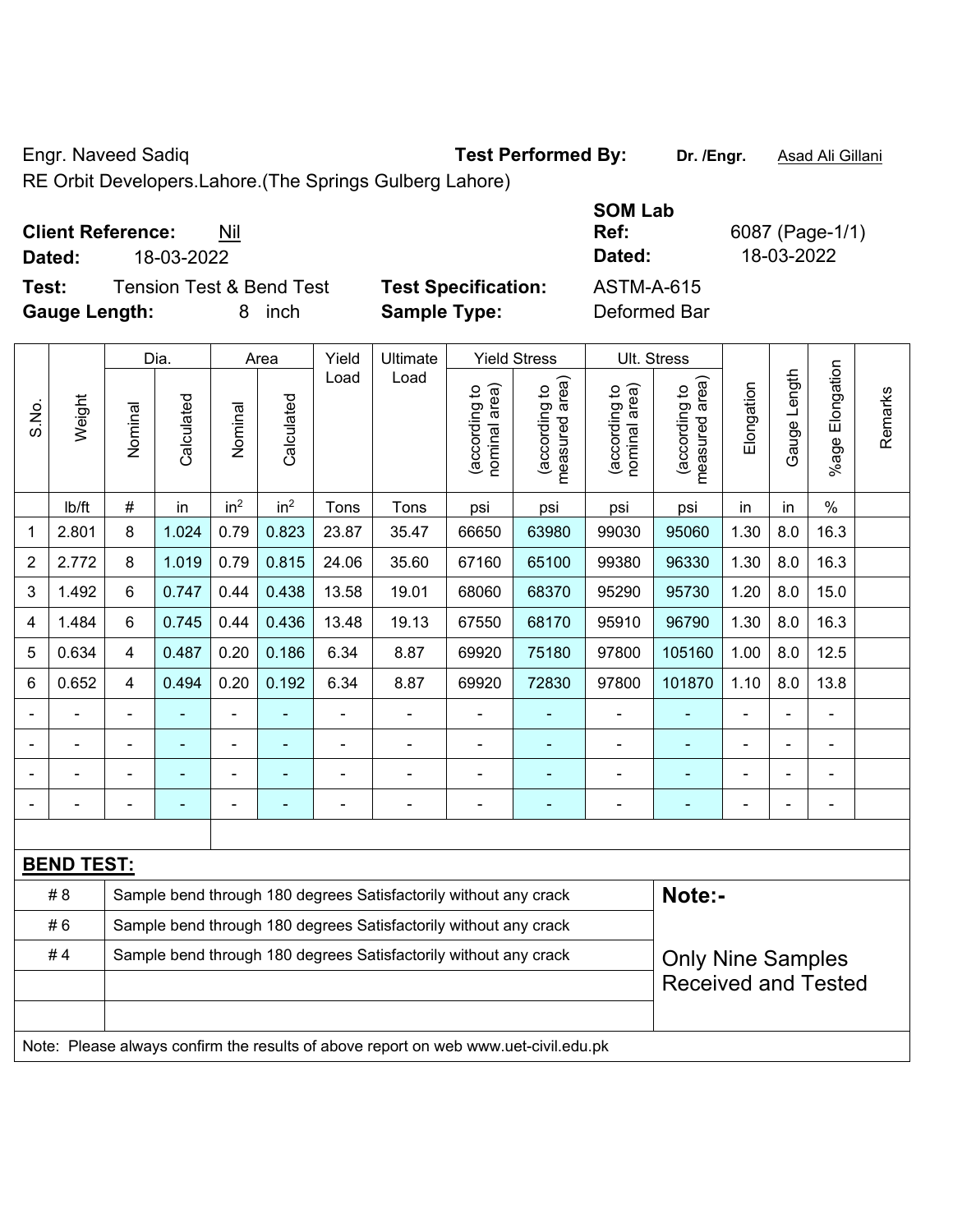Engr. Naveed Sadiq **Test Performed By:** Dr. /Engr. **Asad Ali Gillani** Collection Association Collection Association

RE Orbit Developers.Lahore.(The Springs Gulberg Lahore)

## **Client Reference:** Nil

 $\overline{\phantom{a}}$ 

**Test:** Tension Test & Bend Test **Test Specification: Gauge Length:** 8 inch **Sample Type:** Deformed Bar

|               |                                 |                            | <b>SOM Lab</b> |                 |
|---------------|---------------------------------|----------------------------|----------------|-----------------|
|               | <b>Client Reference:</b><br>Nil |                            | Ref:           | 6087 (Page-1/1) |
| Dated:        | 18-03-2022                      |                            | Dated:         | 18-03-2022      |
| Test:         | Tension Test & Bend Test        | <b>Test Specification:</b> | ASTM-A-615     |                 |
| Cause Langthi | $0$ in $\sim$                   | Cample Tunes               | Doformod Dor   |                 |

|                |                                                                                     |                                                                  | Dia.           |                          | Area                     | Yield          | Ultimate                                                         |                                | <b>Yield Stress</b>             |                                | Ult. Stress                                 |                |                          |                       |         |
|----------------|-------------------------------------------------------------------------------------|------------------------------------------------------------------|----------------|--------------------------|--------------------------|----------------|------------------------------------------------------------------|--------------------------------|---------------------------------|--------------------------------|---------------------------------------------|----------------|--------------------------|-----------------------|---------|
| S.No.          | Weight                                                                              | Nominal                                                          | Calculated     | Nominal                  | Calculated               | Load           | Load                                                             | nominal area)<br>(according to | (according to<br>measured area) | (according to<br>nominal area) | (according to<br>measured area)<br>measured | Elongation     | Gauge Length             | Elongation<br>$%$ age | Remarks |
|                | lb/ft                                                                               | #                                                                | in             | in <sup>2</sup>          | in <sup>2</sup>          | Tons           | Tons                                                             | psi                            | psi                             | psi                            | psi                                         | in             | in                       | $\%$                  |         |
| 1              | 2.801                                                                               | 8                                                                | 1.024          | 0.79                     | 0.823                    | 23.87          | 35.47                                                            | 66650                          | 63980                           | 99030                          | 95060                                       | 1.30           | 8.0                      | 16.3                  |         |
| $\overline{2}$ | 2.772                                                                               | 8                                                                | 1.019          | 0.79                     | 0.815                    | 24.06          | 35.60                                                            | 67160                          | 65100                           | 99380                          | 96330                                       | 1.30           | 8.0                      | 16.3                  |         |
| 3              | 1.492                                                                               | 6                                                                | 0.747          | 0.44                     | 0.438                    | 13.58          | 19.01                                                            | 68060                          | 68370                           | 95290                          | 95730                                       | 1.20           | 8.0                      | 15.0                  |         |
| 4              | 1.484                                                                               | 6                                                                | 0.745          | 0.44                     | 0.436                    | 13.48          | 19.13                                                            | 67550                          | 68170                           | 95910                          | 96790                                       | 1.30           | 8.0                      | 16.3                  |         |
| 5              | 0.634                                                                               | $\overline{4}$                                                   | 0.487          | 0.20                     | 0.186                    | 6.34           | 8.87                                                             | 69920                          | 75180                           | 97800                          | 105160                                      | 1.00           | 8.0                      | 12.5                  |         |
| 6              | 0.652                                                                               | $\overline{4}$                                                   | 0.494          | 0.20                     | 0.192                    | 6.34           | 8.87                                                             | 69920                          | 72830                           | 97800                          | 101870                                      | 1.10           | 8.0                      | 13.8                  |         |
|                |                                                                                     |                                                                  |                |                          |                          | ÷              | $\blacksquare$                                                   | $\overline{\phantom{a}}$       |                                 | $\blacksquare$                 |                                             |                |                          | ÷,                    |         |
|                |                                                                                     | ä,                                                               |                | $\blacksquare$           | $\overline{\phantom{a}}$ | ÷              | $\blacksquare$                                                   | $\blacksquare$                 | $\overline{\phantom{0}}$        | $\blacksquare$                 | ÷                                           | $\blacksquare$ | $\blacksquare$           | $\frac{1}{2}$         |         |
|                |                                                                                     | ٠                                                                | $\blacksquare$ | $\overline{\phantom{a}}$ |                          | $\overline{a}$ | $\overline{a}$                                                   | $\blacksquare$                 |                                 | $\blacksquare$                 | $\blacksquare$                              | $\blacksquare$ |                          | $\frac{1}{2}$         |         |
|                |                                                                                     | Ē,                                                               |                | $\overline{\phantom{a}}$ |                          | ÷              | $\blacksquare$                                                   | $\blacksquare$                 |                                 | $\blacksquare$                 | $\blacksquare$                              | $\blacksquare$ |                          | $\blacksquare$        |         |
|                |                                                                                     |                                                                  |                |                          |                          |                |                                                                  |                                |                                 |                                |                                             |                |                          |                       |         |
|                | <b>BEND TEST:</b>                                                                   |                                                                  |                |                          |                          |                |                                                                  |                                |                                 |                                |                                             |                |                          |                       |         |
|                | #8                                                                                  |                                                                  |                |                          |                          |                | Sample bend through 180 degrees Satisfactorily without any crack |                                |                                 |                                | Note:-                                      |                |                          |                       |         |
|                | #6                                                                                  | Sample bend through 180 degrees Satisfactorily without any crack |                |                          |                          |                |                                                                  |                                |                                 |                                |                                             |                |                          |                       |         |
|                | #4                                                                                  |                                                                  |                |                          |                          |                | Sample bend through 180 degrees Satisfactorily without any crack |                                |                                 |                                |                                             |                | <b>Only Nine Samples</b> |                       |         |
|                |                                                                                     |                                                                  |                |                          |                          |                |                                                                  |                                |                                 |                                | <b>Received and Tested</b>                  |                |                          |                       |         |
|                |                                                                                     |                                                                  |                |                          |                          |                |                                                                  |                                |                                 |                                |                                             |                |                          |                       |         |
|                | Note: Please always confirm the results of above report on web www.uet-civil.edu.pk |                                                                  |                |                          |                          |                |                                                                  |                                |                                 |                                |                                             |                |                          |                       |         |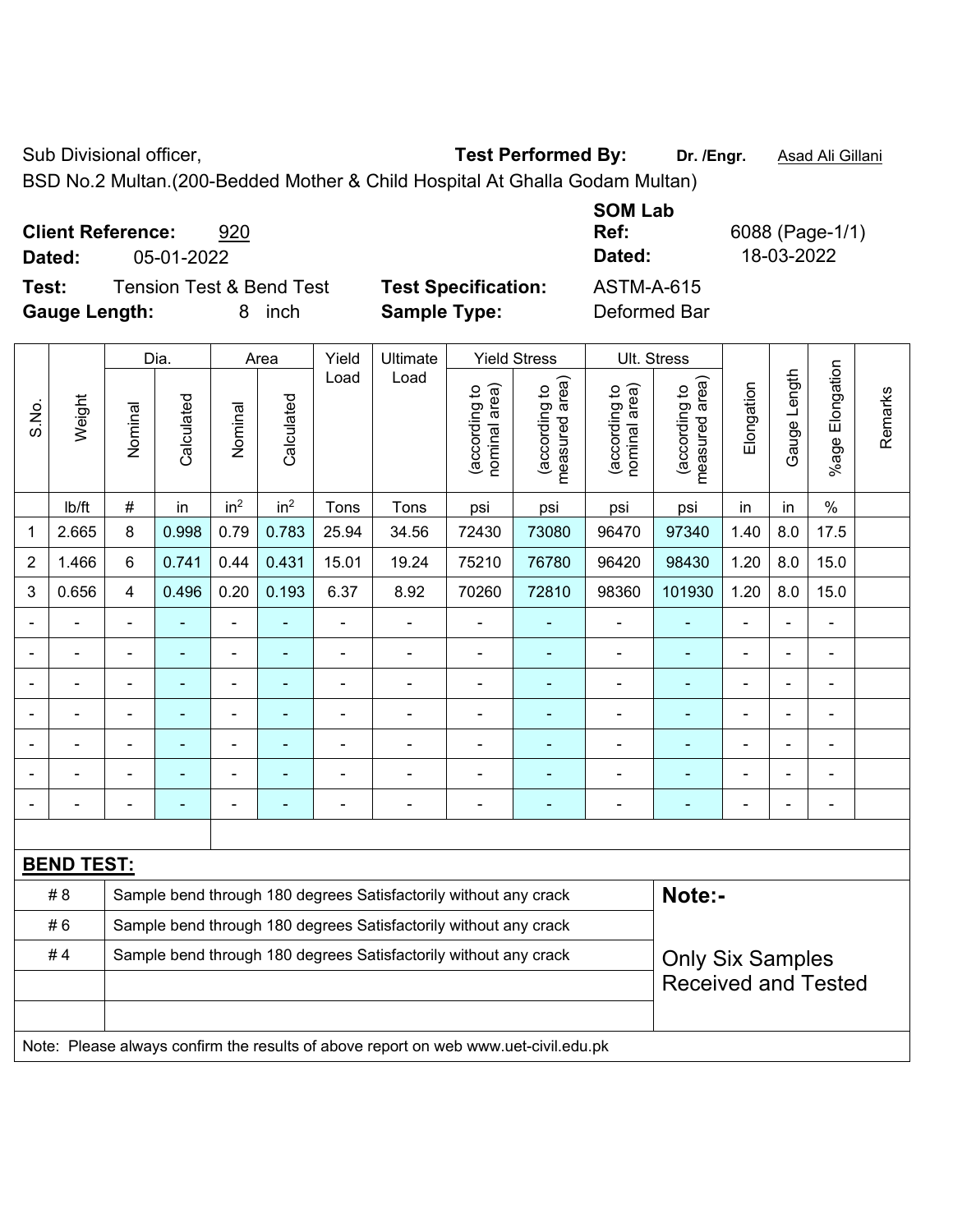Sub Divisional officer, **Test Performed By:** Dr. /Engr. **Asad Ali Gillani** Cube Association Cube Association

BSD No.2 Multan.(200-Bedded Mother & Child Hospital At Ghalla Godam Multan)

**Client Reference:** 920 **Dated:** 05-01-2022 **Dated:** 18-03-2022

**Test:** Tension Test & Bend Test **Test Specification:** ASTM-A-615

S.No.

**Gauge Length:** 8 inch **Sample Type:** Deformed Bar

Dia. | Area | Yield | Ultimate | Yield Stress | Ult. Stress

**SOM Lab Ref:** 6088 (Page-1/1)

|       |        |                | Dia.       |                 | Area            | Yield | Ultimate |                                | Yield Stress                       |                                | UIt. Stress                     |            |                 |                          |         |
|-------|--------|----------------|------------|-----------------|-----------------|-------|----------|--------------------------------|------------------------------------|--------------------------------|---------------------------------|------------|-----------------|--------------------------|---------|
| S.No. | Weight | Nominal        | Calculated | Nominal         | Calculated      | Load  | Load     | nominal area)<br>(according to | area)<br>(according to<br>measured | (according to<br>nominal area) | measured area)<br>(according to | Elongation | Length<br>Gauge | Elongation<br>$%$ age    | Remarks |
|       | Ib/ft  | #              | in         | in <sup>2</sup> | in <sup>2</sup> | Tons  | Tons     | psi                            | psi                                | psi                            | psi                             | in         | in              | $\%$                     |         |
| 1     | 2.665  | 8              | 0.998      | 0.79            | 0.783           | 25.94 | 34.56    | 72430                          | 73080                              | 96470                          | 97340                           | 1.40       | 8.0             | 17.5                     |         |
| 2     | 1.466  | 6              | 0.741      | 0.44            | 0.431           | 15.01 | 19.24    | 75210                          | 76780                              | 96420                          | 98430                           | 1.20       | 8.0             | 15.0                     |         |
| 3     | 0.656  | 4              | 0.496      | 0.20            | 0.193           | 6.37  | 8.92     | 70260                          | 72810                              | 98360                          | 101930                          | 1.20       | 8.0             | 15.0                     |         |
| -     |        |                |            |                 |                 |       |          |                                |                                    |                                |                                 |            |                 |                          |         |
| -     |        | $\blacksquare$ |            |                 |                 |       |          |                                |                                    |                                |                                 |            | $\blacksquare$  | $\blacksquare$           |         |
|       |        |                |            |                 |                 |       |          |                                |                                    |                                |                                 |            | $\blacksquare$  | $\blacksquare$           |         |
| -     |        |                |            |                 |                 |       |          |                                |                                    |                                |                                 |            | $\blacksquare$  | $\overline{\phantom{0}}$ |         |
| -     |        |                |            |                 |                 |       |          |                                |                                    |                                |                                 |            | $\blacksquare$  | ٠                        |         |
| -     |        |                |            |                 |                 |       |          |                                |                                    |                                |                                 |            | $\blacksquare$  | $\blacksquare$           |         |
|       |        |                |            |                 |                 |       |          |                                |                                    |                                |                                 |            |                 | $\blacksquare$           |         |

| <b>BEND TEST:</b> |                                                                                     |                                                       |
|-------------------|-------------------------------------------------------------------------------------|-------------------------------------------------------|
| #8                | Sample bend through 180 degrees Satisfactorily without any crack                    | Note:-                                                |
| #6                | Sample bend through 180 degrees Satisfactorily without any crack                    |                                                       |
| #4                | Sample bend through 180 degrees Satisfactorily without any crack                    | <b>Only Six Samples</b><br><b>Received and Tested</b> |
|                   |                                                                                     |                                                       |
|                   |                                                                                     |                                                       |
|                   | Note: Please always confirm the results of above report on web www.uet-civil.edu.pk |                                                       |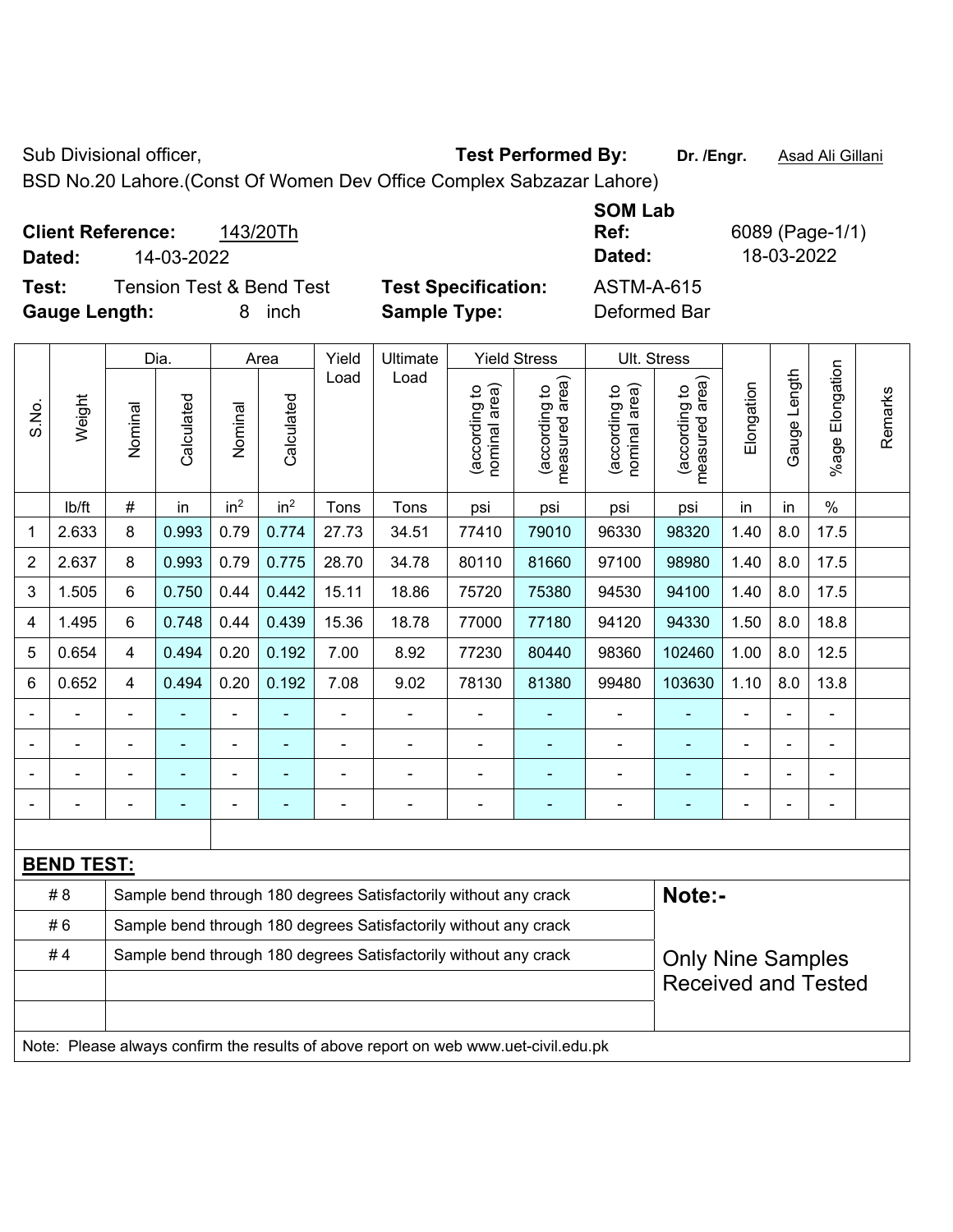Sub Divisional officer, **Test Performed By:** Dr. /Engr. **Asad Ali Gillani** Associated By: Dr. /Engr. **Asad Ali Gillani** 

BSD No.20 Lahore.(Const Of Women Dev Office Complex Sabzazar Lahore)

| <b>Client Reference:</b><br>14-03-2022<br>Dated: | 143/20Th                            |                            | <b>SOM Lab</b><br>Ref:<br>Dated: | 6089 (Page-1/1)<br>18-03-2022 |
|--------------------------------------------------|-------------------------------------|----------------------------|----------------------------------|-------------------------------|
| Test:                                            | <b>Tension Test &amp; Bend Test</b> | <b>Test Specification:</b> | ASTM-A-615                       |                               |
| <b>Gauge Length:</b>                             | inch<br>8.                          | <b>Sample Type:</b>        | Deformed Bar                     |                               |

|                |                   |                | Dia.       |                          | Area            | Yield                    | Ultimate                                                                            |                                | <b>Yield Stress</b>             |                                | Ult. Stress                     |                |                |                          |         |
|----------------|-------------------|----------------|------------|--------------------------|-----------------|--------------------------|-------------------------------------------------------------------------------------|--------------------------------|---------------------------------|--------------------------------|---------------------------------|----------------|----------------|--------------------------|---------|
| S.No.          | Weight            | Nominal        | Calculated | Nominal                  | Calculated      | Load                     | Load                                                                                | nominal area)<br>(according to | measured area)<br>(according to | nominal area)<br>(according to | (according to<br>measured area) | Elongation     | Gauge Length   | Elongation<br>$%$ age    | Remarks |
|                | Ib/ft             | #              | in         | in <sup>2</sup>          | in <sup>2</sup> | Tons                     | Tons                                                                                | psi                            | psi                             | psi                            | psi                             | in             | in             | $\%$                     |         |
| 1              | 2.633             | 8              | 0.993      | 0.79                     | 0.774           | 27.73                    | 34.51                                                                               | 77410                          | 79010                           | 96330                          | 98320                           | 1.40           | 8.0            | 17.5                     |         |
| $\overline{2}$ | 2.637             | 8              | 0.993      | 0.79                     | 0.775           | 28.70                    | 34.78                                                                               | 80110                          | 81660                           | 97100                          | 98980                           | 1.40           | 8.0            | 17.5                     |         |
| 3              | 1.505             | 6              | 0.750      | 0.44                     | 0.442           | 15.11                    | 18.86                                                                               | 75720                          | 75380                           | 94530                          | 94100                           | 1.40           | 8.0            | 17.5                     |         |
| 4              | 1.495             | 6              | 0.748      | 0.44                     | 0.439           | 15.36                    | 18.78                                                                               | 77000                          | 77180                           | 94120                          | 94330                           | 1.50           | 8.0            | 18.8                     |         |
| 5              | 0.654             | 4              | 0.494      | 0.20                     | 0.192           | 7.00                     | 8.92                                                                                | 77230                          | 80440                           | 98360                          | 102460                          | 1.00           | 8.0            | 12.5                     |         |
| 6              | 0.652             | 4              | 0.494      | 0.20                     | 0.192           | 7.08                     | 9.02                                                                                | 78130                          | 81380                           | 99480                          | 103630                          | 1.10           | 8.0            | 13.8                     |         |
|                |                   | $\blacksquare$ |            |                          |                 | $\overline{a}$           | $\blacksquare$                                                                      | $\blacksquare$                 |                                 | $\blacksquare$                 |                                 | ÷              |                | ä,                       |         |
|                |                   |                | ۰          | $\overline{\phantom{a}}$ |                 | $\blacksquare$           | $\blacksquare$                                                                      | $\blacksquare$                 | ۰                               | $\overline{a}$                 |                                 | $\blacksquare$ | $\blacksquare$ | $\overline{\phantom{a}}$ |         |
|                | $\blacksquare$    | $\blacksquare$ |            |                          |                 | $\overline{\phantom{a}}$ | $\blacksquare$                                                                      | $\blacksquare$                 |                                 | $\blacksquare$                 | $\blacksquare$                  | ÷              |                | $\blacksquare$           |         |
|                | $\blacksquare$    | -              | ÷          | $\overline{\phantom{a}}$ |                 | ÷,                       | $\blacksquare$                                                                      | $\blacksquare$                 |                                 | $\overline{a}$                 | ٠                               | ÷,             |                | $\blacksquare$           |         |
|                |                   |                |            |                          |                 |                          |                                                                                     |                                |                                 |                                |                                 |                |                |                          |         |
|                | <b>BEND TEST:</b> |                |            |                          |                 |                          |                                                                                     |                                |                                 |                                |                                 |                |                |                          |         |
|                | # 8               |                |            |                          |                 |                          | Sample bend through 180 degrees Satisfactorily without any crack                    |                                |                                 |                                | Note:-                          |                |                |                          |         |
|                | #6                |                |            |                          |                 |                          | Sample bend through 180 degrees Satisfactorily without any crack                    |                                |                                 |                                |                                 |                |                |                          |         |
|                | #4                |                |            |                          |                 |                          | Sample bend through 180 degrees Satisfactorily without any crack                    |                                |                                 |                                | <b>Only Nine Samples</b>        |                |                |                          |         |
|                |                   |                |            |                          |                 |                          |                                                                                     |                                |                                 |                                | <b>Received and Tested</b>      |                |                |                          |         |
|                |                   |                |            |                          |                 |                          |                                                                                     |                                |                                 |                                |                                 |                |                |                          |         |
|                |                   |                |            |                          |                 |                          | Note: Please always confirm the results of above report on web www.uet-civil.edu.pk |                                |                                 |                                |                                 |                |                |                          |         |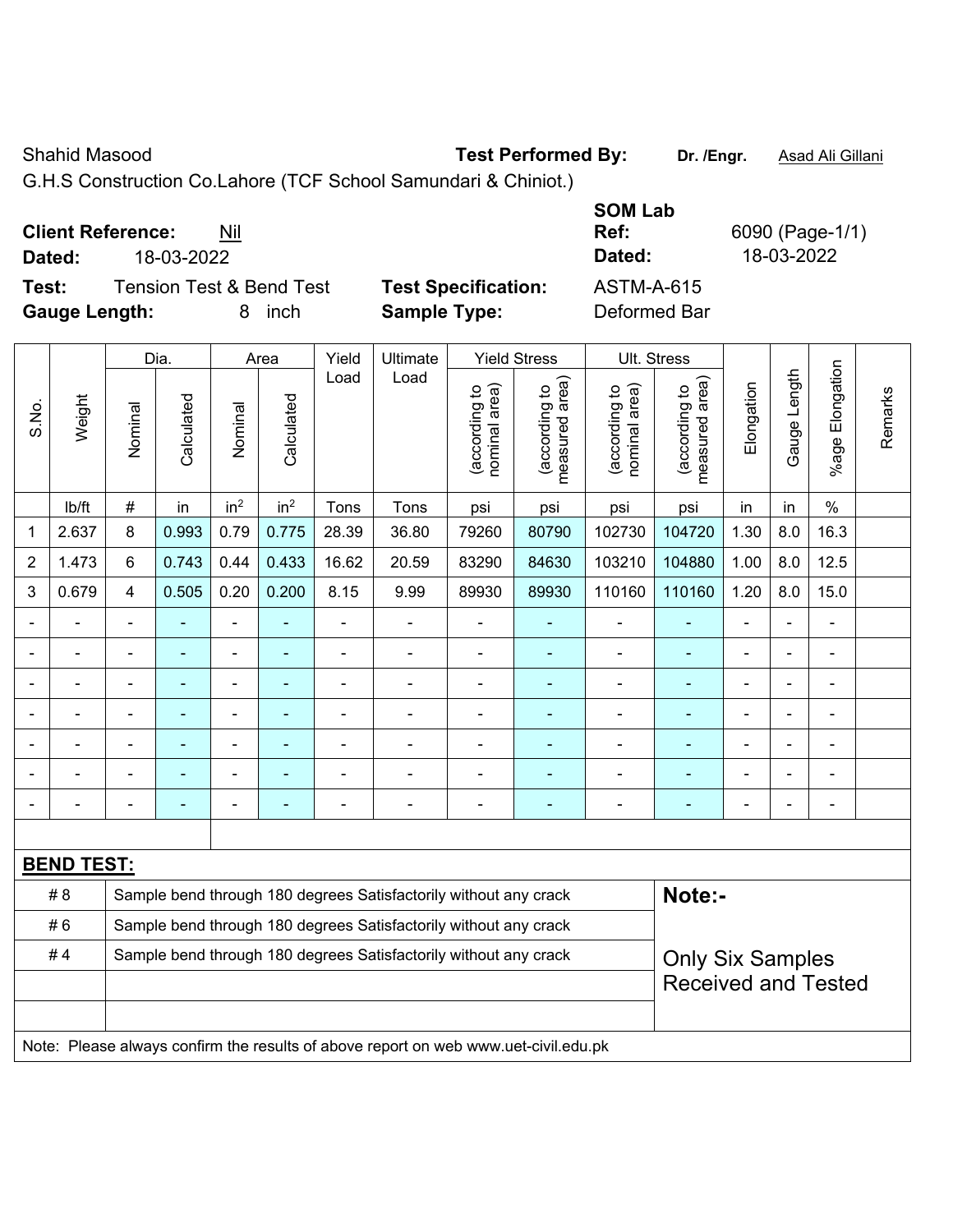### Shahid Masood **Test Performed By:** Dr. /Engr. **Asad Ali Gillani** Changer Changer Changer Changer Changer Changer

G.H.S Construction Co.Lahore (TCF School Samundari & Chiniot.)

| <b>Client Reference:</b> |            | Nil |  |
|--------------------------|------------|-----|--|
| <b>D.4.4.</b>            | wa ng ngon |     |  |

**Test:** Tension Test & Bend Test **Test Specification:** ASTM-A-615 **Gauge Length:** 8 inch **Sample Type:** Deformed Bar

**SOM Lab Ref:** 6090 (Page-1/1) **Dated:** 18-03-2022 **Dated:** 18-03-2022

|                |                   |                                                                  | Dia.           |                 | Area            | Yield          | Ultimate                                                         |                                | <b>Yield Stress</b>             | Ult. Stress                    |                                 |                |                |                 |         |
|----------------|-------------------|------------------------------------------------------------------|----------------|-----------------|-----------------|----------------|------------------------------------------------------------------|--------------------------------|---------------------------------|--------------------------------|---------------------------------|----------------|----------------|-----------------|---------|
| S.No.          | Weight            | Nominal                                                          | Calculated     | Nominal         | Calculated      | Load           | Load                                                             | nominal area)<br>(according to | (according to<br>measured area) | nominal area)<br>(according to | measured area)<br>(according to | Elongation     | Gauge Length   | %age Elongation | Remarks |
|                | Ib/ft             | #                                                                | in             | in <sup>2</sup> | in <sup>2</sup> | Tons           | Tons                                                             | psi                            | psi                             | psi                            | psi                             | in             | in             | $\%$            |         |
| 1              | 2.637             | 8                                                                | 0.993          | 0.79            | 0.775           | 28.39          | 36.80                                                            | 79260                          | 80790                           | 102730                         | 104720                          | 1.30           | 8.0            | 16.3            |         |
| $\sqrt{2}$     | 1.473             | 6                                                                | 0.743          | 0.44            | 0.433           | 16.62          | 20.59                                                            | 83290                          | 84630                           | 103210                         | 104880                          | 1.00           | 8.0            | 12.5            |         |
| $\mathfrak{S}$ | 0.679             | 4                                                                | 0.505          | 0.20            | 0.200           | 8.15           | 9.99                                                             | 89930                          | 89930                           | 110160                         | 110160                          | 1.20           | 8.0            | 15.0            |         |
|                |                   | $\overline{a}$                                                   |                |                 |                 | $\blacksquare$ |                                                                  | ä,                             |                                 | $\blacksquare$                 |                                 |                |                |                 |         |
|                | $\blacksquare$    | ä,                                                               | ä,             | $\blacksquare$  | $\blacksquare$  | ä,             | ä,                                                               | $\blacksquare$                 | ÷                               | $\blacksquare$                 | ÷                               | $\blacksquare$ | ÷,             | $\blacksquare$  |         |
|                | Ē,                | $\blacksquare$                                                   | $\blacksquare$ | $\blacksquare$  | ä,              | ä,             | ÷                                                                | $\blacksquare$                 | ٠                               | $\blacksquare$                 | ä,                              | $\blacksquare$ | $\blacksquare$ | $\blacksquare$  |         |
|                |                   | Ē,                                                               | $\blacksquare$ |                 |                 | -              |                                                                  | Ē,                             | ٠                               | $\blacksquare$                 |                                 |                | $\blacksquare$ |                 |         |
|                |                   |                                                                  |                |                 |                 | $\blacksquare$ | $\blacksquare$                                                   | $\blacksquare$                 | ۰                               | $\blacksquare$                 | $\blacksquare$                  | ٠              |                | ۰               |         |
|                |                   | $\blacksquare$                                                   | $\blacksquare$ | $\blacksquare$  | ۳               | $\blacksquare$ | $\blacksquare$                                                   | $\blacksquare$                 | $\overline{\phantom{0}}$        |                                |                                 | $\overline{a}$ | $\blacksquare$ | $\blacksquare$  |         |
|                |                   | ÷                                                                |                | $\blacksquare$  |                 | $\blacksquare$ | $\blacksquare$                                                   | $\blacksquare$                 | $\blacksquare$                  | $\blacksquare$                 | $\blacksquare$                  | $\blacksquare$ | $\blacksquare$ | $\blacksquare$  |         |
|                |                   |                                                                  |                |                 |                 |                |                                                                  |                                |                                 |                                |                                 |                |                |                 |         |
|                | <b>BEND TEST:</b> |                                                                  |                |                 |                 |                |                                                                  |                                |                                 |                                |                                 |                |                |                 |         |
|                | # 8               | Sample bend through 180 degrees Satisfactorily without any crack |                |                 |                 |                |                                                                  |                                |                                 |                                | Note:-                          |                |                |                 |         |
|                | #6                |                                                                  |                |                 |                 |                | Sample bend through 180 degrees Satisfactorily without any crack |                                |                                 |                                |                                 |                |                |                 |         |
|                | #4                |                                                                  |                |                 |                 |                | Sample bend through 180 degrees Satisfactorily without any crack |                                |                                 |                                | <b>Only Six Samples</b>         |                |                |                 |         |
|                |                   |                                                                  |                |                 |                 |                |                                                                  |                                |                                 |                                | <b>Received and Tested</b>      |                |                |                 |         |
|                |                   |                                                                  |                |                 |                 |                |                                                                  |                                |                                 |                                |                                 |                |                |                 |         |
|                |                   |                                                                  |                |                 |                 |                |                                                                  |                                |                                 |                                |                                 |                |                |                 |         |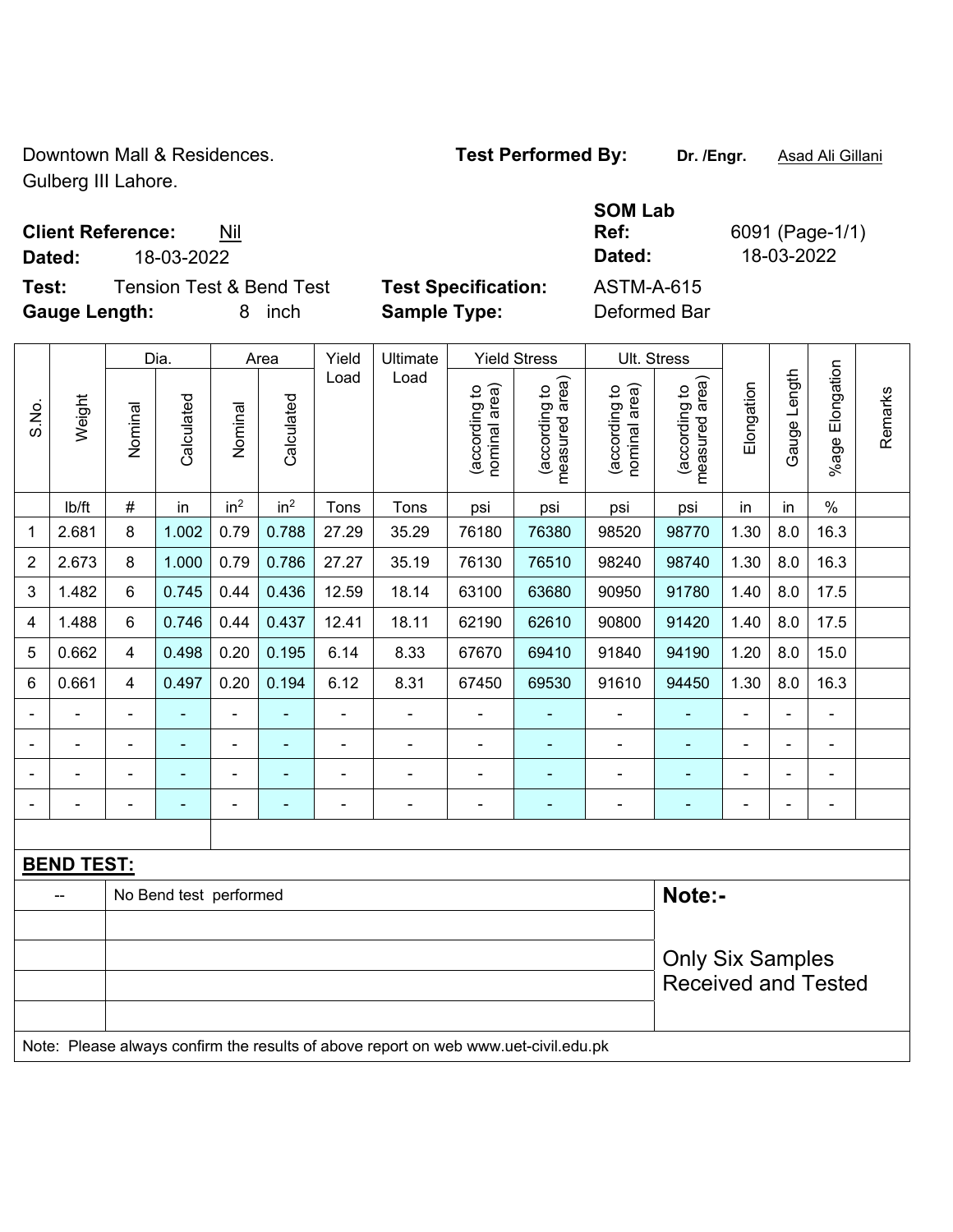Downtown Mall & Residences. **Test Performed By:** Dr. /Engr. **Asad Ali Gillani** Gulberg III Lahore.

**Test:** Tension Test & Bend Test **Test Specification:** ASTM-A-615 **Gauge Length:** 8 inch **Sample Type:** Deformed Bar

**Client Reference:** Nil **Dated:** 18-03-2022 **Dated:** 18-03-2022

|         | Dated |
|---------|-------|
| cation: | ASTM  |

**Ref:** 6091 (Page-1/1)

|                         |                                                                                     |                         | Dia.                   |                 | Area            | Yield          | Ultimate       |                                | <b>Yield Stress</b>             | <b>Ult. Stress</b>             |                                 |                |                |                 |         |
|-------------------------|-------------------------------------------------------------------------------------|-------------------------|------------------------|-----------------|-----------------|----------------|----------------|--------------------------------|---------------------------------|--------------------------------|---------------------------------|----------------|----------------|-----------------|---------|
| S.No.                   | Weight                                                                              | Nominal                 | Calculated             | Nominal         | Calculated      | Load           | Load           | (according to<br>nominal area) | measured area)<br>(according to | nominal area)<br>(according to | measured area)<br>(according to | Elongation     | Gauge Length   | %age Elongation | Remarks |
|                         | lb/ft                                                                               | #                       | in                     | in <sup>2</sup> | in <sup>2</sup> | Tons           | Tons           | psi                            | psi                             | psi                            | psi                             | in             | in             | $\%$            |         |
| 1                       | 2.681                                                                               | 8                       | 1.002                  | 0.79            | 0.788           | 27.29          | 35.29          | 76180                          | 76380                           | 98520                          | 98770                           | 1.30           | 8.0            | 16.3            |         |
| $\overline{2}$          | 2.673                                                                               | 8                       | 1.000                  | 0.79            | 0.786           | 27.27          | 35.19          | 76130                          | 76510                           | 98240                          | 98740                           | 1.30           | 8.0            | 16.3            |         |
| $\sqrt{3}$              | 1.482                                                                               | 6                       | 0.745                  | 0.44            | 0.436           | 12.59          | 18.14          | 63100                          | 63680                           | 90950                          | 91780                           | 1.40           | 8.0            | 17.5            |         |
| $\overline{\mathbf{4}}$ | 1.488                                                                               | 6                       | 0.746                  | 0.44            | 0.437           | 12.41          | 18.11          | 62190                          | 62610                           | 90800                          | 91420                           | 1.40           | 8.0            | 17.5            |         |
| 5                       | 0.662                                                                               | 4                       | 0.498                  | 0.20            | 0.195           | 6.14           | 8.33           | 67670                          | 69410                           | 91840                          | 94190                           | 1.20           | 8.0            | 15.0            |         |
| 6                       | 0.661                                                                               | 4                       | 0.497                  | 0.20            | 0.194           | 6.12           | 8.31           | 67450                          | 69530                           | 91610                          | 94450                           | 1.30           | 8.0            | 16.3            |         |
| $\blacksquare$          |                                                                                     | $\blacksquare$          |                        | $\blacksquare$  | L,              | $\blacksquare$ | $\blacksquare$ | $\overline{\phantom{a}}$       |                                 | $\blacksquare$                 | ٠                               | ä,             | $\blacksquare$ | ÷,              |         |
|                         |                                                                                     | $\blacksquare$          | ÷,                     | ÷,              | $\blacksquare$  | Ē,             |                | $\blacksquare$                 |                                 | $\qquad \qquad \blacksquare$   | $\blacksquare$                  | ä,             |                | ÷               |         |
|                         |                                                                                     | ÷,                      | ÷,                     | ۰               | ÷               | ä,             | $\blacksquare$ | $\overline{\phantom{a}}$       | $\blacksquare$                  | ÷,                             | $\blacksquare$                  | ä,             |                | ÷,              |         |
|                         |                                                                                     |                         |                        |                 |                 | Ē,             |                | $\overline{a}$                 | $\overline{\phantom{0}}$        | -                              | $\blacksquare$                  | $\blacksquare$ |                | ÷               |         |
|                         |                                                                                     |                         |                        |                 |                 |                |                |                                |                                 |                                |                                 |                |                |                 |         |
|                         | <b>BEND TEST:</b>                                                                   |                         |                        |                 |                 |                |                |                                |                                 |                                |                                 |                |                |                 |         |
|                         |                                                                                     |                         | No Bend test performed |                 |                 |                |                |                                |                                 |                                | Note:-                          |                |                |                 |         |
|                         |                                                                                     |                         |                        |                 |                 |                |                |                                |                                 |                                |                                 |                |                |                 |         |
|                         |                                                                                     | <b>Only Six Samples</b> |                        |                 |                 |                |                |                                |                                 |                                |                                 |                |                |                 |         |
|                         |                                                                                     |                         |                        |                 |                 |                |                |                                |                                 |                                | <b>Received and Tested</b>      |                |                |                 |         |
|                         |                                                                                     |                         |                        |                 |                 |                |                |                                |                                 |                                |                                 |                |                |                 |         |
|                         | Note: Please always confirm the results of above report on web www.uet-civil.edu.pk |                         |                        |                 |                 |                |                |                                |                                 |                                |                                 |                |                |                 |         |

**SOM Lab**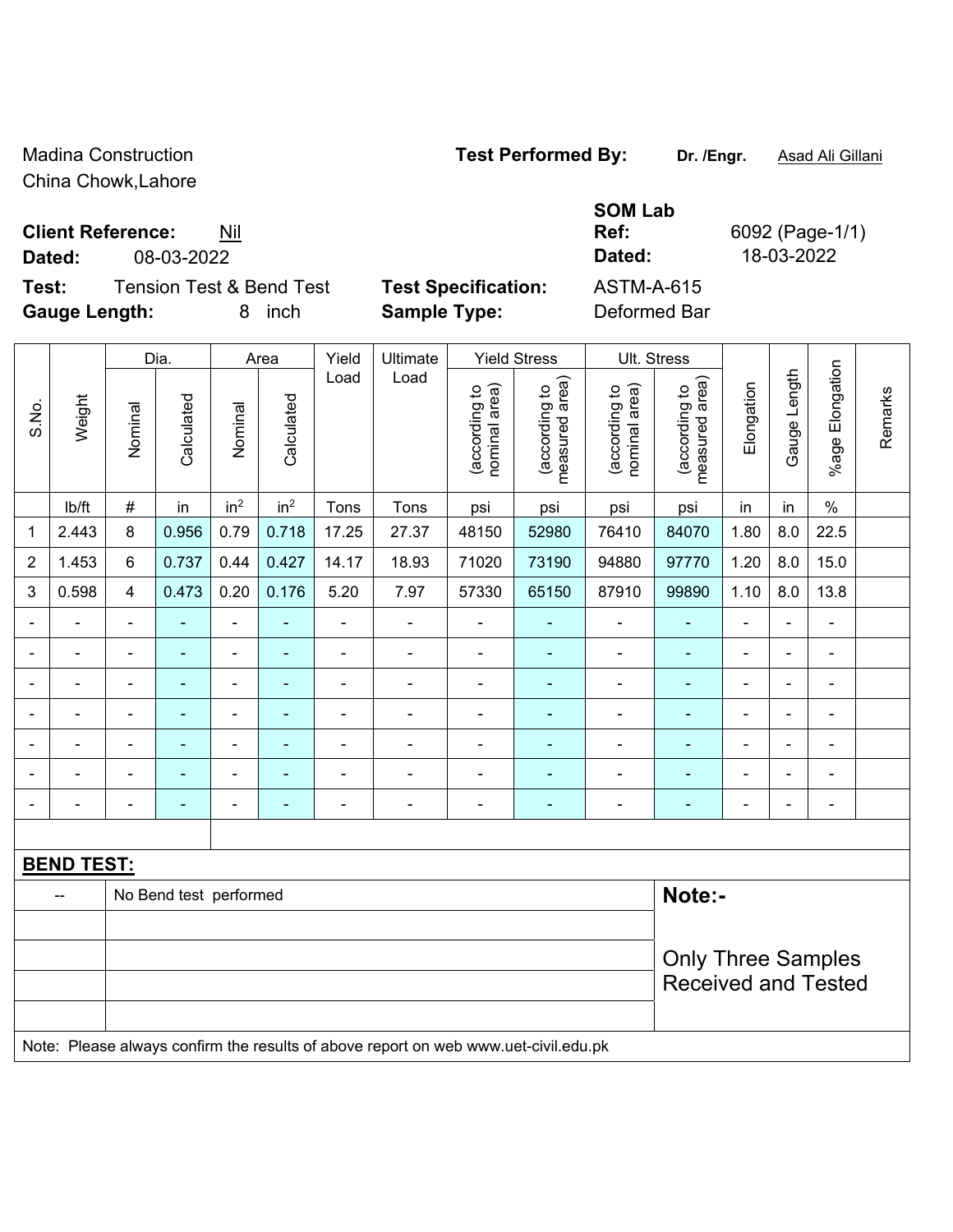China Chowk,Lahore

# **Client Reference:** Nil

**Dated:** 08-03-2022 **Dated:** 18-03-2022

**Test:** Tension Test & Bend Test **Test Specification:** ASTM-A-615 **Gauge Length:** 8 inch **Sample Type:** Deformed Bar

| <b>Specification:</b> |  |
|-----------------------|--|
| nle Tvne:             |  |

**Ref:** 6092 (Page-1/1)

٦

|                              |                   | Dia.<br>Area   |                        |                 |                 |                | <b>Yield Stress</b>                                                                 |                                |                                 |                                |                                 |                |                |                          |         |
|------------------------------|-------------------|----------------|------------------------|-----------------|-----------------|----------------|-------------------------------------------------------------------------------------|--------------------------------|---------------------------------|--------------------------------|---------------------------------|----------------|----------------|--------------------------|---------|
|                              |                   |                |                        |                 |                 | Yield          | Ultimate                                                                            |                                |                                 | Ult. Stress                    |                                 |                |                |                          |         |
| S.No.                        | Weight            | Nominal        | Calculated             | Nominal         | Calculated      | Load           | Load                                                                                | nominal area)<br>(according to | (according to<br>measured area) | (according to<br>nominal area) | (according to<br>measured area) | Elongation     | Gauge Length   | Elongation<br>$%$ age I  | Remarks |
|                              | lb/ft             | $\#$           | in                     | in <sup>2</sup> | in <sup>2</sup> | Tons           | Tons                                                                                | psi                            | psi                             | psi                            | psi                             | in             | in             | $\%$                     |         |
| $\mathbf 1$                  | 2.443             | 8              | 0.956                  | 0.79            | 0.718           | 17.25          | 27.37                                                                               | 48150                          | 52980                           | 76410                          | 84070                           | 1.80           | 8.0            | 22.5                     |         |
| $\overline{2}$               | 1.453             | 6              | 0.737                  | 0.44            | 0.427           | 14.17          | 18.93                                                                               | 71020                          | 73190                           | 94880                          | 97770                           | 1.20           | 8.0            | 15.0                     |         |
| 3                            | 0.598             | $\overline{4}$ | 0.473                  | 0.20            | 0.176           | 5.20           | 7.97                                                                                | 57330                          | 65150                           | 87910                          | 99890                           | 1.10           | 8.0            | 13.8                     |         |
| $\qquad \qquad \blacksquare$ | $\blacksquare$    | $\blacksquare$ |                        |                 | ÷               | $\blacksquare$ |                                                                                     | $\blacksquare$                 | ٠                               |                                | ÷,                              | ä,             |                | ä,                       |         |
| $\blacksquare$               |                   |                |                        | $\blacksquare$  | $\blacksquare$  | $\blacksquare$ | $\blacksquare$                                                                      | $\blacksquare$                 | ÷                               | $\blacksquare$                 | $\blacksquare$                  |                |                | $\blacksquare$           |         |
| $\blacksquare$               |                   |                |                        |                 | ۰               | ä,             |                                                                                     |                                | $\blacksquare$                  |                                | ä,                              |                |                | $\blacksquare$           |         |
| $\overline{\phantom{a}}$     |                   | $\blacksquare$ |                        |                 |                 | ä,             |                                                                                     |                                |                                 |                                | Ē,                              | ä,             |                | $\blacksquare$           |         |
| $\blacksquare$               | $\blacksquare$    | $\blacksquare$ | $\blacksquare$         | $\blacksquare$  | ۰               | $\blacksquare$ |                                                                                     | $\blacksquare$                 | $\blacksquare$                  | $\blacksquare$                 | ٠                               | $\blacksquare$ | $\blacksquare$ | $\blacksquare$           |         |
| $\blacksquare$               |                   |                |                        | $\blacksquare$  | ۰               | $\blacksquare$ |                                                                                     | Ē,                             | $\blacksquare$                  |                                | $\blacksquare$                  |                | ÷,             | $\overline{\phantom{a}}$ |         |
| $\blacksquare$               | ÷,                | ä,             | $\blacksquare$         | $\blacksquare$  | ÷               | $\blacksquare$ | $\blacksquare$                                                                      | $\blacksquare$                 | $\blacksquare$                  |                                | $\blacksquare$                  | $\blacksquare$ |                | ä,                       |         |
|                              |                   |                |                        |                 |                 |                |                                                                                     |                                |                                 |                                |                                 |                |                |                          |         |
|                              | <u>BEND TEST:</u> |                |                        |                 |                 |                |                                                                                     |                                |                                 |                                |                                 |                |                |                          |         |
|                              | --                |                | No Bend test performed |                 |                 |                |                                                                                     |                                |                                 |                                | Note:-                          |                |                |                          |         |
|                              |                   |                |                        |                 |                 |                |                                                                                     |                                |                                 |                                |                                 |                |                |                          |         |
|                              |                   |                |                        |                 |                 |                |                                                                                     |                                |                                 |                                | <b>Only Three Samples</b>       |                |                |                          |         |
|                              |                   |                |                        |                 |                 |                |                                                                                     |                                |                                 |                                | <b>Received and Tested</b>      |                |                |                          |         |
|                              |                   |                |                        |                 |                 |                |                                                                                     |                                |                                 |                                |                                 |                |                |                          |         |
|                              |                   |                |                        |                 |                 |                | Note: Please always confirm the results of above report on web www.uet-civil.edu.pk |                                |                                 |                                |                                 |                |                |                          |         |

Madina Construction **Test Performed By:** Dr. /Engr. **Asad Ali Gillani** Associate Dr. /Engr. **Asad Ali Gillani** 

**SOM Lab**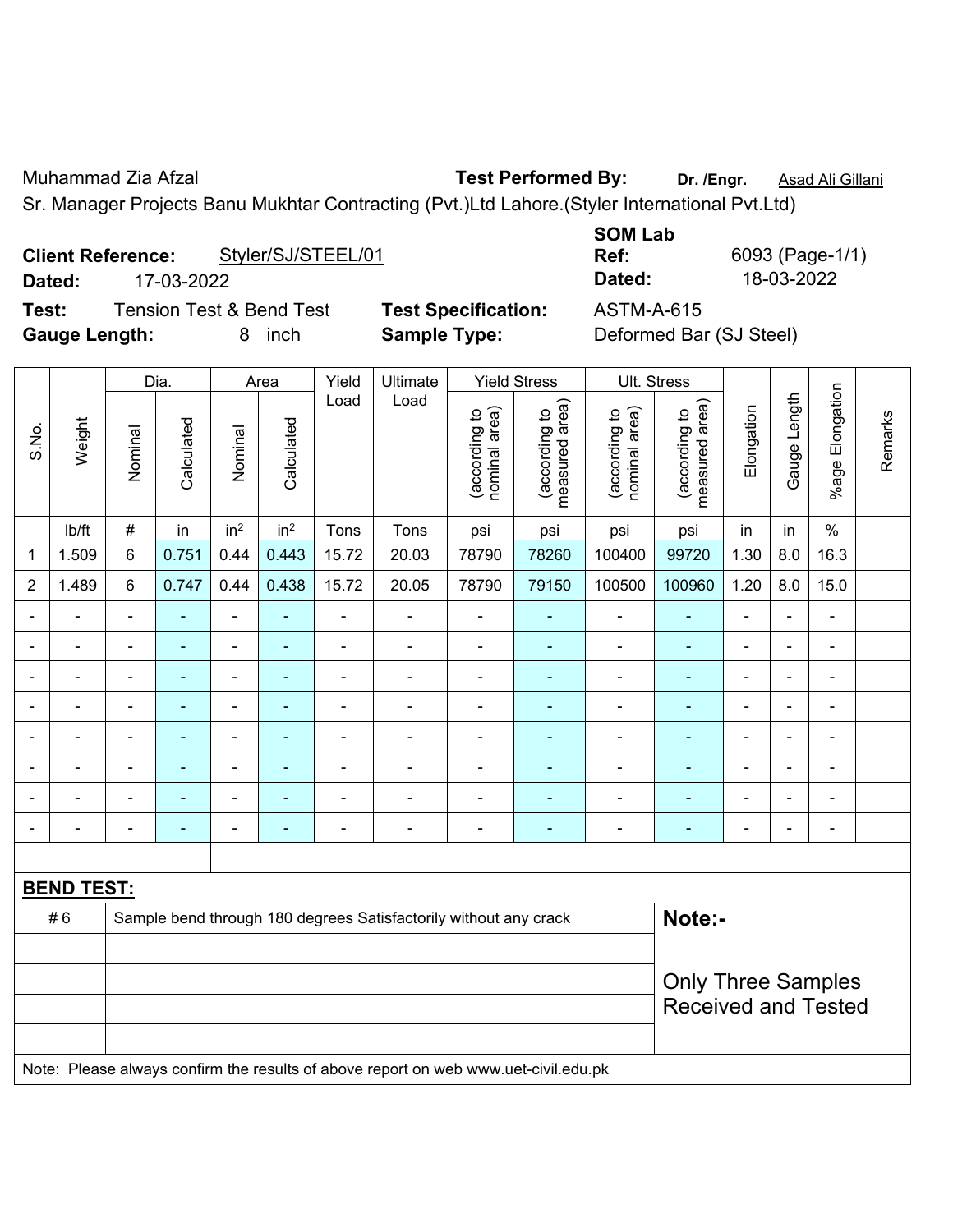Muhammad Zia Afzal **Test Performed By: Dr. /Engr.** Asad Ali Gillani

Sr. Manager Projects Banu Mukhtar Contracting (Pvt.)Ltd Lahore.(Styler International Pvt.Ltd)

|        | <b>Client Reference:</b> | Styler/SJ/STEEL/01  |  |
|--------|--------------------------|---------------------|--|
| Dated: | 17-03-2022               |                     |  |
|        |                          | T : T : 0 m : 1 T : |  |

**Test:** Tension Test & Bend Test **Test Specification:** ASTM-A-615 **Gauge Length:** 8 inch **Sample Type:** Deformed Bar (SJ Steel)

**SOM Lab** 

**Ref:** 6093 (Page-1/1) **Dated:** 17-03-2022 **Dated:** 18-03-2022

|                |                   |                | Dia.           |                              | Area                     | Yield          | Ultimate                                                                            |                                | <b>Yield Stress</b>             | Ult. Stress                    |                                 |                |                |                              |         |
|----------------|-------------------|----------------|----------------|------------------------------|--------------------------|----------------|-------------------------------------------------------------------------------------|--------------------------------|---------------------------------|--------------------------------|---------------------------------|----------------|----------------|------------------------------|---------|
| S.No.          | Weight            | Nominal        | Calculated     | Nominal                      | Calculated               | Load           | Load                                                                                | nominal area)<br>(according to | (according to<br>measured area) | (according to<br>nominal area) | measured area)<br>(according to | Elongation     | Gauge Length   | %age Elongation              | Remarks |
|                | lb/ft             | $\#$           | in             | in <sup>2</sup>              | in <sup>2</sup>          | Tons           | Tons                                                                                | psi                            | psi                             | psi                            | psi                             | in             | in             | $\%$                         |         |
| 1              | 1.509             | 6              | 0.751          | 0.44                         | 0.443                    | 15.72          | 20.03                                                                               | 78790                          | 78260                           | 100400                         | 99720                           | 1.30           | 8.0            | 16.3                         |         |
| $\overline{c}$ | 1.489             | 6              | 0.747          | 0.44                         | 0.438                    | 15.72          | 20.05                                                                               | 78790                          | 79150                           | 100500                         | 100960                          | 1.20           | 8.0            | 15.0                         |         |
| $\blacksquare$ | $\blacksquare$    | $\blacksquare$ | ä,             | $\qquad \qquad \blacksquare$ | ÷                        | $\blacksquare$ | $\blacksquare$                                                                      | $\blacksquare$                 | $\blacksquare$                  | $\blacksquare$                 | ÷,                              | $\blacksquare$ | $\blacksquare$ | $\blacksquare$               |         |
| $\blacksquare$ | $\blacksquare$    | $\blacksquare$ | ä,             | $\qquad \qquad \blacksquare$ | ÷                        | $\blacksquare$ | $\blacksquare$                                                                      | $\overline{\phantom{a}}$       | $\blacksquare$                  | $\blacksquare$                 | ÷                               | $\blacksquare$ | $\blacksquare$ | ÷,                           |         |
|                | $\blacksquare$    | $\blacksquare$ | $\blacksquare$ | $\qquad \qquad \blacksquare$ | $\overline{\phantom{a}}$ | $\blacksquare$ | $\overline{\phantom{a}}$                                                            | $\overline{\phantom{a}}$       | $\blacksquare$                  | $\blacksquare$                 | $\blacksquare$                  | $\blacksquare$ | $\blacksquare$ | $\qquad \qquad \blacksquare$ |         |
|                |                   | $\blacksquare$ | $\blacksquare$ | $\blacksquare$               |                          | Ē,             | ÷                                                                                   | $\blacksquare$                 | $\blacksquare$                  | $\blacksquare$                 | ۰                               |                | $\blacksquare$ | $\blacksquare$               |         |
|                |                   |                | $\blacksquare$ |                              |                          |                |                                                                                     | $\blacksquare$                 | ٠                               |                                | ۰                               |                |                |                              |         |
| $\blacksquare$ |                   | $\blacksquare$ |                | ۰                            |                          |                | ÷                                                                                   | $\blacksquare$                 | ٠                               |                                | ۰                               |                | $\blacksquare$ | $\blacksquare$               |         |
| $\blacksquare$ |                   |                | $\blacksquare$ | $\blacksquare$               |                          | $\blacksquare$ | $\blacksquare$                                                                      | $\blacksquare$                 | $\blacksquare$                  | $\blacksquare$                 | ٠                               | $\blacksquare$ | ÷              | ÷,                           |         |
| $\blacksquare$ |                   | $\blacksquare$ | $\blacksquare$ | $\blacksquare$               | ٠                        | $\blacksquare$ | $\blacksquare$                                                                      | $\blacksquare$                 | $\blacksquare$                  | $\overline{\phantom{0}}$       | ٠                               | $\blacksquare$ | $\blacksquare$ | $\blacksquare$               |         |
|                |                   |                |                |                              |                          |                |                                                                                     |                                |                                 |                                |                                 |                |                |                              |         |
|                | <b>BEND TEST:</b> |                |                |                              |                          |                |                                                                                     |                                |                                 |                                |                                 |                |                |                              |         |
|                | #6                |                |                |                              |                          |                | Sample bend through 180 degrees Satisfactorily without any crack                    |                                |                                 |                                | Note:-                          |                |                |                              |         |
|                |                   |                |                |                              |                          |                |                                                                                     |                                |                                 |                                |                                 |                |                |                              |         |
|                |                   |                |                |                              |                          |                |                                                                                     |                                |                                 |                                | <b>Only Three Samples</b>       |                |                |                              |         |
|                |                   |                |                |                              |                          |                |                                                                                     |                                |                                 | <b>Received and Tested</b>     |                                 |                |                |                              |         |
|                |                   |                |                |                              |                          |                |                                                                                     |                                |                                 |                                |                                 |                |                |                              |         |
|                |                   |                |                |                              |                          |                | Note: Please always confirm the results of above report on web www.uet-civil.edu.pk |                                |                                 |                                |                                 |                |                |                              |         |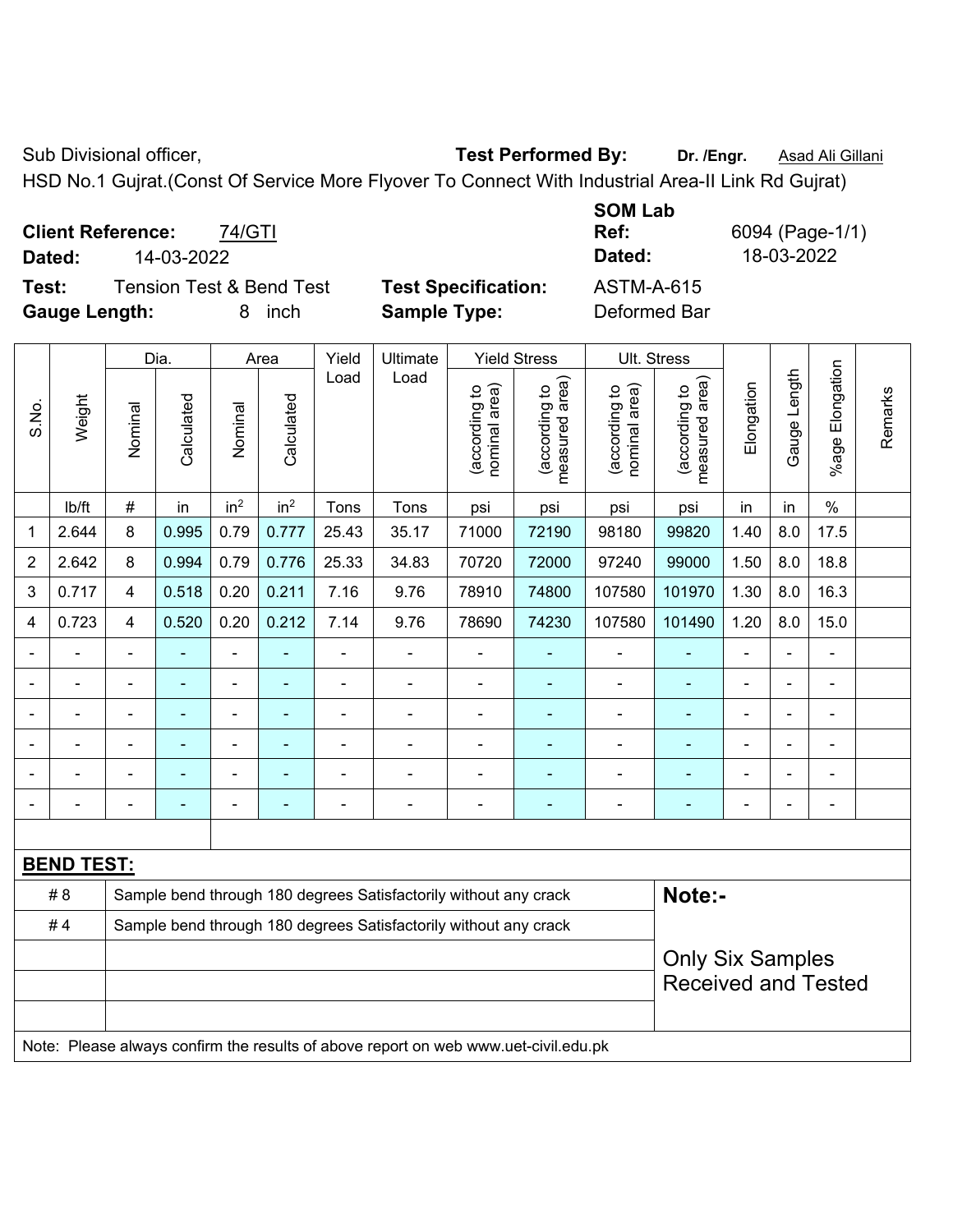Sub Divisional officer, **Test Performed By:** Dr. /Engr. **Asad Ali Gillani** Collection Association Association Association Association Association Association Association Association Association Association Association Asso

**SOM Lab** 

HSD No.1 Gujrat.(Const Of Service More Flyover To Connect With Industrial Area-II Link Rd Gujrat)

**Client Reference:** 74/GTI **Dated:** 14-03-2022 **Dated:** 18-03-2022

**Test:** Tension Test & Bend Test **Test Specification:** ASTM-A-615 **Gauge Length:** 8 inch **Sample Type:** Deformed Bar

**Ref:** 6094 (Page-1/1)

|                |                   |                | Dia.           |                          | Area                     | Yield          | Ultimate                                                         |                                | <b>Yield Stress</b>             | Ult. Stress                    |                                             |                |                |                       |         |
|----------------|-------------------|----------------|----------------|--------------------------|--------------------------|----------------|------------------------------------------------------------------|--------------------------------|---------------------------------|--------------------------------|---------------------------------------------|----------------|----------------|-----------------------|---------|
| S.No.          | Weight            | Nominal        | Calculated     | Nominal                  | Calculated               | Load           | Load                                                             | nominal area)<br>(according to | (according to<br>measured area) | nominal area)<br>(according to | (according to<br>measured area)<br>measured | Elongation     | Gauge Length   | Elongation<br>$%$ age | Remarks |
|                | lb/ft             | $\#$           | in             | in <sup>2</sup>          | in <sup>2</sup>          | Tons           | Tons                                                             | psi                            | psi                             | psi                            | psi                                         | in             | in             | $\%$                  |         |
| 1              | 2.644             | 8              | 0.995          | 0.79                     | 0.777                    | 25.43          | 35.17                                                            | 71000                          | 72190                           | 98180                          | 99820                                       | 1.40           | 8.0            | 17.5                  |         |
| $\overline{2}$ | 2.642             | 8              | 0.994          | 0.79                     | 0.776                    | 25.33          | 34.83                                                            | 70720                          | 72000                           | 97240                          | 99000                                       | 1.50           | 8.0            | 18.8                  |         |
| 3              | 0.717             | $\overline{4}$ | 0.518          | 0.20                     | 0.211                    | 7.16           | 9.76                                                             | 78910                          | 74800                           | 107580                         | 101970                                      | 1.30           | 8.0            | 16.3                  |         |
| 4              | 0.723             | 4              | 0.520          | 0.20                     | 0.212                    | 7.14           | 9.76                                                             | 78690                          | 74230                           | 107580                         | 101490                                      | 1.20           | 8.0            | 15.0                  |         |
|                |                   | $\blacksquare$ | $\blacksquare$ | $\overline{\phantom{0}}$ |                          | $\blacksquare$ | ÷.                                                               | ä,                             | $\blacksquare$                  | $\blacksquare$                 | $\blacksquare$                              | $\blacksquare$ |                | ÷                     |         |
|                |                   | $\blacksquare$ | ۰              | ۰                        | ٠                        | $\blacksquare$ | $\overline{a}$                                                   | $\blacksquare$                 | ٠                               | $\blacksquare$                 | ٠                                           | $\blacksquare$ |                | ÷                     |         |
|                |                   |                |                | $\blacksquare$           |                          |                | $\blacksquare$                                                   |                                |                                 | $\blacksquare$                 |                                             |                |                | $\blacksquare$        |         |
|                |                   | $\blacksquare$ | $\blacksquare$ | ÷                        |                          | $\blacksquare$ | $\overline{a}$                                                   | $\blacksquare$                 | $\blacksquare$                  | $\overline{\phantom{a}}$       | ÷                                           | $\blacksquare$ | $\blacksquare$ | $\blacksquare$        |         |
|                |                   | $\blacksquare$ | ۰              | ٠                        | $\blacksquare$           | $\blacksquare$ | $\blacksquare$                                                   | $\blacksquare$                 | $\blacksquare$                  | $\blacksquare$                 | $\blacksquare$                              | $\blacksquare$ | $\blacksquare$ | ÷                     |         |
|                |                   | $\blacksquare$ | ÷,             | ۰                        | $\overline{\phantom{0}}$ | $\blacksquare$ | $\overline{a}$                                                   | ä,                             | ۰                               | $\blacksquare$                 | ä,                                          | $\blacksquare$ |                | ÷                     |         |
|                |                   |                |                |                          |                          |                |                                                                  |                                |                                 |                                |                                             |                |                |                       |         |
|                | <b>BEND TEST:</b> |                |                |                          |                          |                |                                                                  |                                |                                 |                                |                                             |                |                |                       |         |
|                | # 8               |                |                |                          |                          |                | Sample bend through 180 degrees Satisfactorily without any crack |                                |                                 |                                | Note:-                                      |                |                |                       |         |
|                | #4                |                |                |                          |                          |                | Sample bend through 180 degrees Satisfactorily without any crack |                                |                                 |                                |                                             |                |                |                       |         |
|                |                   |                |                |                          |                          |                |                                                                  |                                |                                 |                                | <b>Only Six Samples</b>                     |                |                |                       |         |
|                |                   |                |                |                          |                          |                |                                                                  |                                |                                 |                                | <b>Received and Tested</b>                  |                |                |                       |         |
|                |                   |                |                |                          |                          |                |                                                                  |                                |                                 |                                |                                             |                |                |                       |         |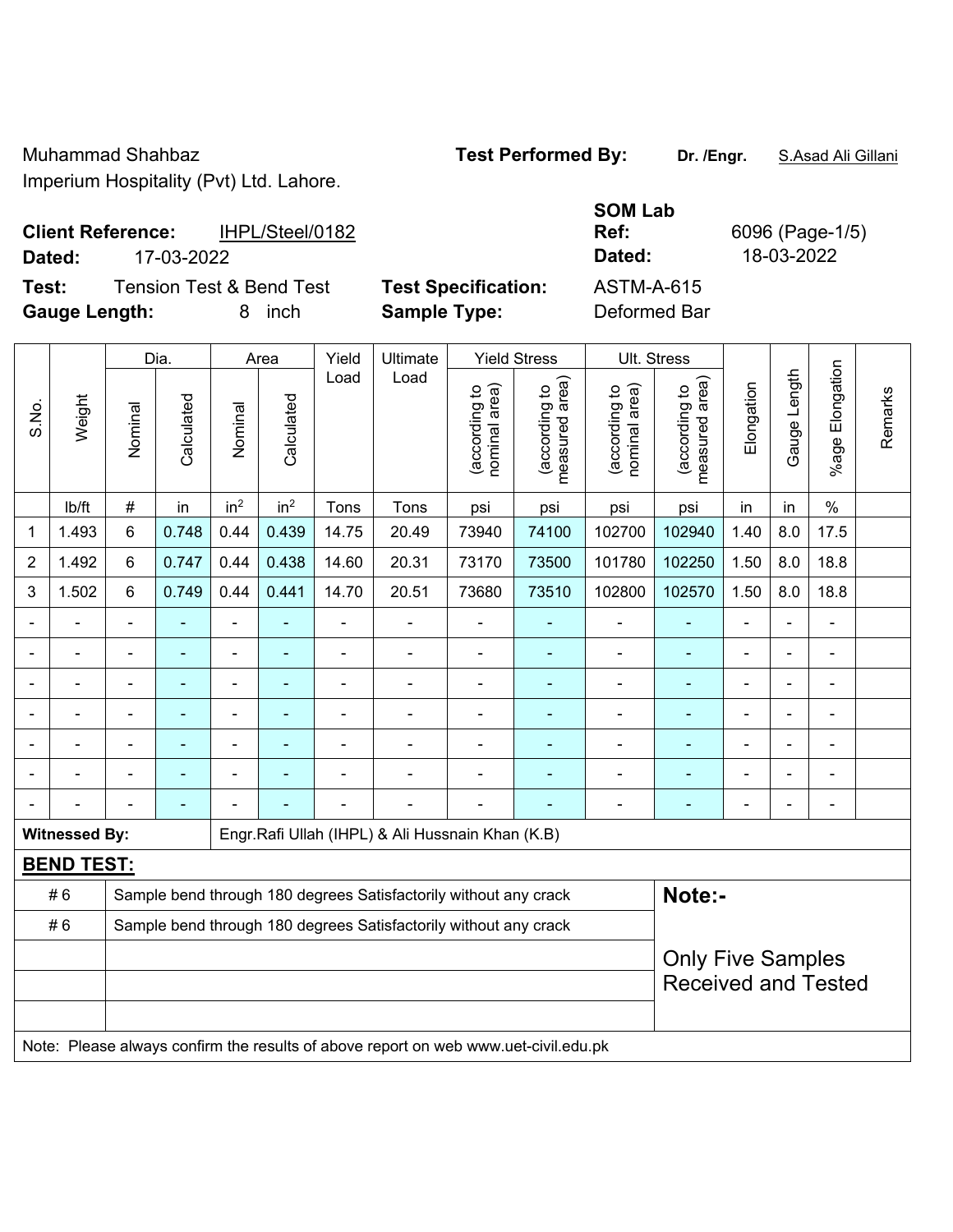## **Client Reference:** IHPL/Steel/0182 **Dated:** 17-03-2022 **Dated:** 18-03-2022

┯

**Test:** Tension Test & Bend Test **Test Specification: Gauge Length:** 8 inch **Sample Type:** Deformed Bar

 $\overline{\phantom{a}}$ 

 $\overline{\phantom{a}}$ 

 $\overline{\phantom{a}}$ 

 $\overline{\phantom{a}}$ 

| <b>SOM Lab</b> |   |
|----------------|---|
| Ref:           | 6 |
| Dated:         |   |
| ASTM-A-615     |   |

 $\overline{\mathbf{r}}$ 

 $\top$ 

**Ref:** 6096 (Page-1/5)

 $\top$ 

 $\top$ 

|                | Dia.                 |                |            |                 | Area            |                | Ultimate                                                                            |                                | <b>Yield Stress</b>                         |                                | Ult. Stress                     |                |              |                          |         |
|----------------|----------------------|----------------|------------|-----------------|-----------------|----------------|-------------------------------------------------------------------------------------|--------------------------------|---------------------------------------------|--------------------------------|---------------------------------|----------------|--------------|--------------------------|---------|
| S.No.          | Weight               | Nominal        | Calculated | Nominal         | Calculated      | Load           | Load                                                                                | (according to<br>nominal area) | (according to<br>measured area)<br>measured | nominal area)<br>(according to | (according to<br>measured area) | Elongation     | Gauge Length | Elongation<br>$%$ age    | Remarks |
|                | lb/ft                | $\#$           | in         | in <sup>2</sup> | in <sup>2</sup> | Tons           | Tons                                                                                | psi                            | psi                                         | psi                            | psi                             | in             | in           | $\%$                     |         |
| $\mathbf{1}$   | 1.493                | 6              | 0.748      | 0.44            | 0.439           | 14.75          | 20.49                                                                               | 73940                          | 74100                                       | 102700                         | 102940                          | 1.40           | 8.0          | 17.5                     |         |
| $\overline{2}$ | 1.492                | $6\phantom{a}$ | 0.747      | 0.44            | 0.438           | 14.60          | 20.31                                                                               | 73170                          | 73500                                       | 101780                         | 102250                          | 1.50           | 8.0          | 18.8                     |         |
| 3              | 1.502                | $6\phantom{1}$ | 0.749      | 0.44            | 0.441           | 14.70          | 20.51                                                                               | 73680                          | 73510                                       | 102800                         | 102570                          | 1.50           | 8.0          | 18.8                     |         |
|                |                      |                |            | $\blacksquare$  |                 |                |                                                                                     |                                |                                             | $\blacksquare$                 |                                 |                |              |                          |         |
|                |                      |                |            |                 |                 |                |                                                                                     |                                |                                             |                                |                                 |                |              |                          |         |
|                |                      | $\blacksquare$ |            | $\blacksquare$  | ۰               | $\blacksquare$ | $\blacksquare$                                                                      | $\blacksquare$                 |                                             | $\blacksquare$                 | $\blacksquare$                  | $\blacksquare$ |              | $\overline{\phantom{0}}$ |         |
|                |                      | $\blacksquare$ |            | $\blacksquare$  | ٠               | $\blacksquare$ | $\blacksquare$                                                                      | $\blacksquare$                 | $\blacksquare$                              | $\overline{a}$                 | $\overline{\phantom{0}}$        | $\blacksquare$ |              | ÷                        |         |
|                |                      | ä,             |            | $\blacksquare$  | ۰               |                | ÷                                                                                   |                                |                                             | $\blacksquare$                 | $\blacksquare$                  |                |              | $\blacksquare$           |         |
|                |                      |                |            |                 |                 |                |                                                                                     |                                |                                             |                                |                                 |                |              |                          |         |
|                |                      |                |            |                 |                 |                |                                                                                     |                                |                                             |                                |                                 |                |              | $\overline{\phantom{a}}$ |         |
|                | <b>Witnessed By:</b> |                |            |                 |                 |                | Engr.Rafi Ullah (IHPL) & Ali Hussnain Khan (K.B)                                    |                                |                                             |                                |                                 |                |              |                          |         |
|                | <b>BEND TEST:</b>    |                |            |                 |                 |                |                                                                                     |                                |                                             |                                |                                 |                |              |                          |         |
|                | #6                   |                |            |                 |                 |                | Sample bend through 180 degrees Satisfactorily without any crack                    |                                |                                             |                                | Note:-                          |                |              |                          |         |
|                | #6                   |                |            |                 |                 |                | Sample bend through 180 degrees Satisfactorily without any crack                    |                                |                                             |                                |                                 |                |              |                          |         |
|                |                      |                |            |                 |                 |                |                                                                                     |                                |                                             |                                | <b>Only Five Samples</b>        |                |              |                          |         |
|                |                      |                |            |                 |                 |                |                                                                                     |                                |                                             |                                | <b>Received and Tested</b>      |                |              |                          |         |
|                |                      |                |            |                 |                 |                |                                                                                     |                                |                                             |                                |                                 |                |              |                          |         |
|                |                      |                |            |                 |                 |                | Note: Please always confirm the results of above report on web www.uet-civil.edu.pk |                                |                                             |                                |                                 |                |              |                          |         |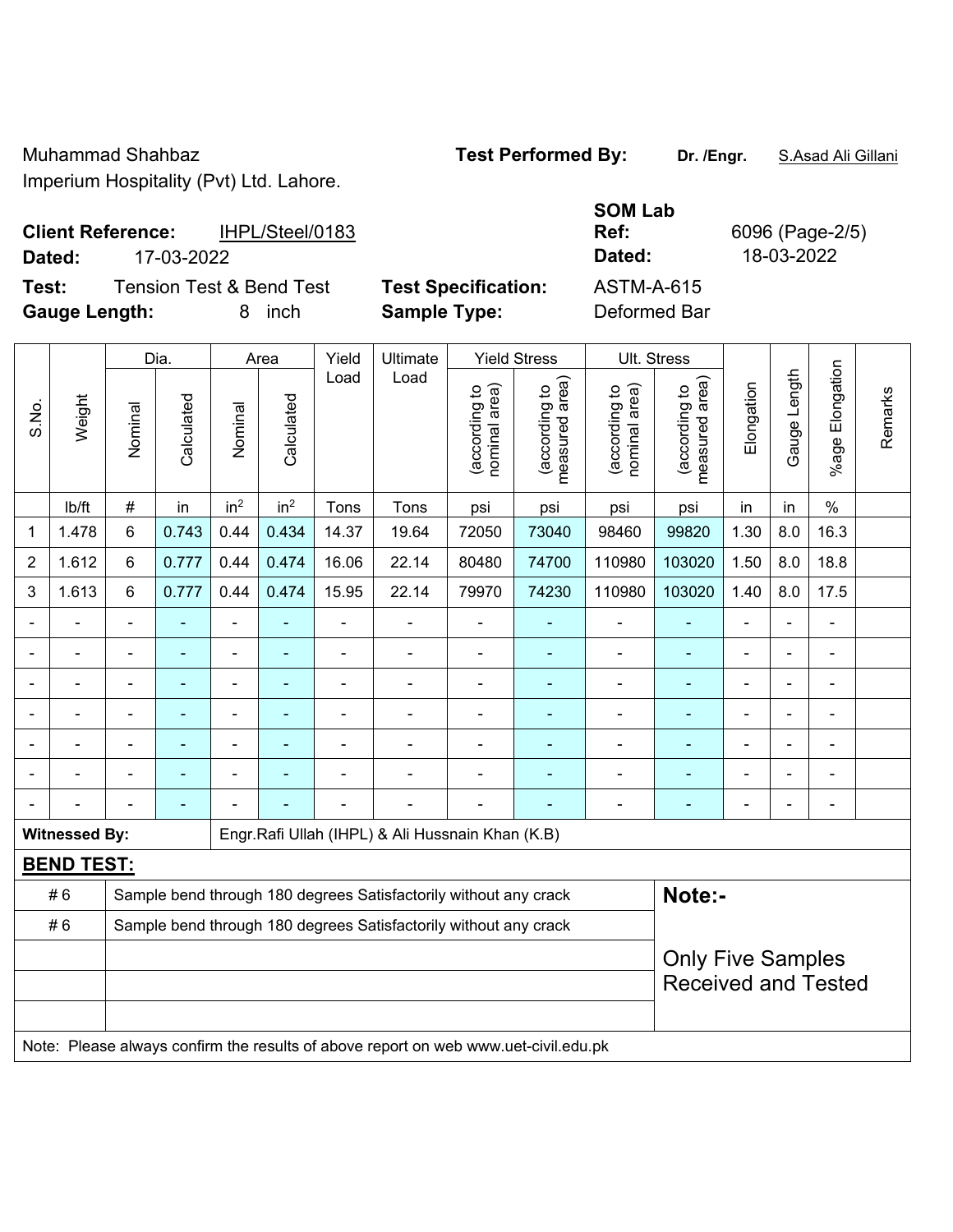## **Client Reference:** IHPL/Steel/0183 **Dated:** 17-03-2022 **Dated:** 18-03-2022

**Test:** Tension Test & Bend Test **Test Specification: Gauge Length:** 8 inch **Sample Type:** Deformed Bar

| SOM Lab           |    |
|-------------------|----|
| Ref:              | 60 |
| Dated:            |    |
| <b>ASTM-A-615</b> |    |

096 (Page-2/5)

|       |                      | <b>Yield Stress</b><br>Dia.<br>Ultimate<br>Yield<br>Area |                |                          |                 | Ult. Stress    |                                                                                     |                                |                                             |                                |                                                        |                |              |                              |         |
|-------|----------------------|----------------------------------------------------------|----------------|--------------------------|-----------------|----------------|-------------------------------------------------------------------------------------|--------------------------------|---------------------------------------------|--------------------------------|--------------------------------------------------------|----------------|--------------|------------------------------|---------|
| S.No. | Weight               | Nominal                                                  | Calculated     | Nominal                  | Calculated      | Load           | Load                                                                                | (according to<br>nominal area) | (according to<br>measured area)<br>measured | nominal area)<br>(according to | (according to<br>measured area)                        | Elongation     | Gauge Length | Elongation<br>$%$ age        | Remarks |
|       | lb/ft                | $\#$                                                     | in             | in <sup>2</sup>          | in <sup>2</sup> | Tons           | Tons                                                                                | psi                            | psi                                         | psi                            | psi                                                    | in             | in           | $\%$                         |         |
| 1     | 1.478                | 6                                                        | 0.743          | 0.44                     | 0.434           | 14.37          | 19.64                                                                               | 72050                          | 73040                                       | 98460                          | 99820                                                  | 1.30           | 8.0          | 16.3                         |         |
| 2     | 1.612                | 6                                                        | 0.777          | 0.44                     | 0.474           | 16.06          | 22.14                                                                               | 80480                          | 74700                                       | 110980                         | 103020                                                 | 1.50           | 8.0          | 18.8                         |         |
| 3     | 1.613                | 6                                                        | 0.777          | 0.44                     | 0.474           | 15.95          | 22.14                                                                               | 79970                          | 74230                                       | 110980                         | 103020                                                 | 1.40           | 8.0          | 17.5                         |         |
|       |                      |                                                          |                | $\blacksquare$           |                 |                |                                                                                     |                                |                                             |                                |                                                        |                |              |                              |         |
|       |                      | $\blacksquare$                                           |                | ÷                        |                 |                | ÷.                                                                                  | $\blacksquare$                 |                                             | $\overline{\phantom{0}}$       |                                                        | $\blacksquare$ |              | $\blacksquare$               |         |
|       |                      | L,                                                       | ٠              | ä,                       | ۰               | $\blacksquare$ | ÷                                                                                   | $\blacksquare$                 |                                             | $\blacksquare$                 | ٠                                                      | ä,             |              | $\blacksquare$               |         |
|       |                      | $\blacksquare$                                           | ٠              | $\overline{\phantom{a}}$ | $\blacksquare$  |                | ÷                                                                                   | $\blacksquare$                 | $\overline{\phantom{a}}$                    | $\blacksquare$                 | $\blacksquare$                                         | $\blacksquare$ |              | $\qquad \qquad \blacksquare$ |         |
|       |                      | ä,                                                       |                | ä,                       |                 |                |                                                                                     |                                |                                             | $\blacksquare$                 |                                                        |                |              | ä,                           |         |
|       |                      |                                                          |                |                          |                 |                |                                                                                     |                                |                                             |                                |                                                        |                |              |                              |         |
|       |                      | $\blacksquare$                                           | $\blacksquare$ |                          |                 |                | ۰                                                                                   | $\blacksquare$                 |                                             | $\blacksquare$                 | ۰                                                      | $\blacksquare$ |              | $\blacksquare$               |         |
|       | <b>Witnessed By:</b> |                                                          |                |                          |                 |                | Engr.Rafi Ullah (IHPL) & Ali Hussnain Khan (K.B)                                    |                                |                                             |                                |                                                        |                |              |                              |         |
|       | <b>BEND TEST:</b>    |                                                          |                |                          |                 |                |                                                                                     |                                |                                             |                                |                                                        |                |              |                              |         |
|       | #6                   |                                                          |                |                          |                 |                | Sample bend through 180 degrees Satisfactorily without any crack                    |                                |                                             |                                | Note:-                                                 |                |              |                              |         |
|       | #6                   |                                                          |                |                          |                 |                | Sample bend through 180 degrees Satisfactorily without any crack                    |                                |                                             |                                |                                                        |                |              |                              |         |
|       |                      |                                                          |                |                          |                 |                |                                                                                     |                                |                                             |                                | <b>Only Five Samples</b><br><b>Received and Tested</b> |                |              |                              |         |
|       |                      |                                                          |                |                          |                 |                | Note: Please always confirm the results of above report on web www.uet-civil.edu.pk |                                |                                             |                                |                                                        |                |              |                              |         |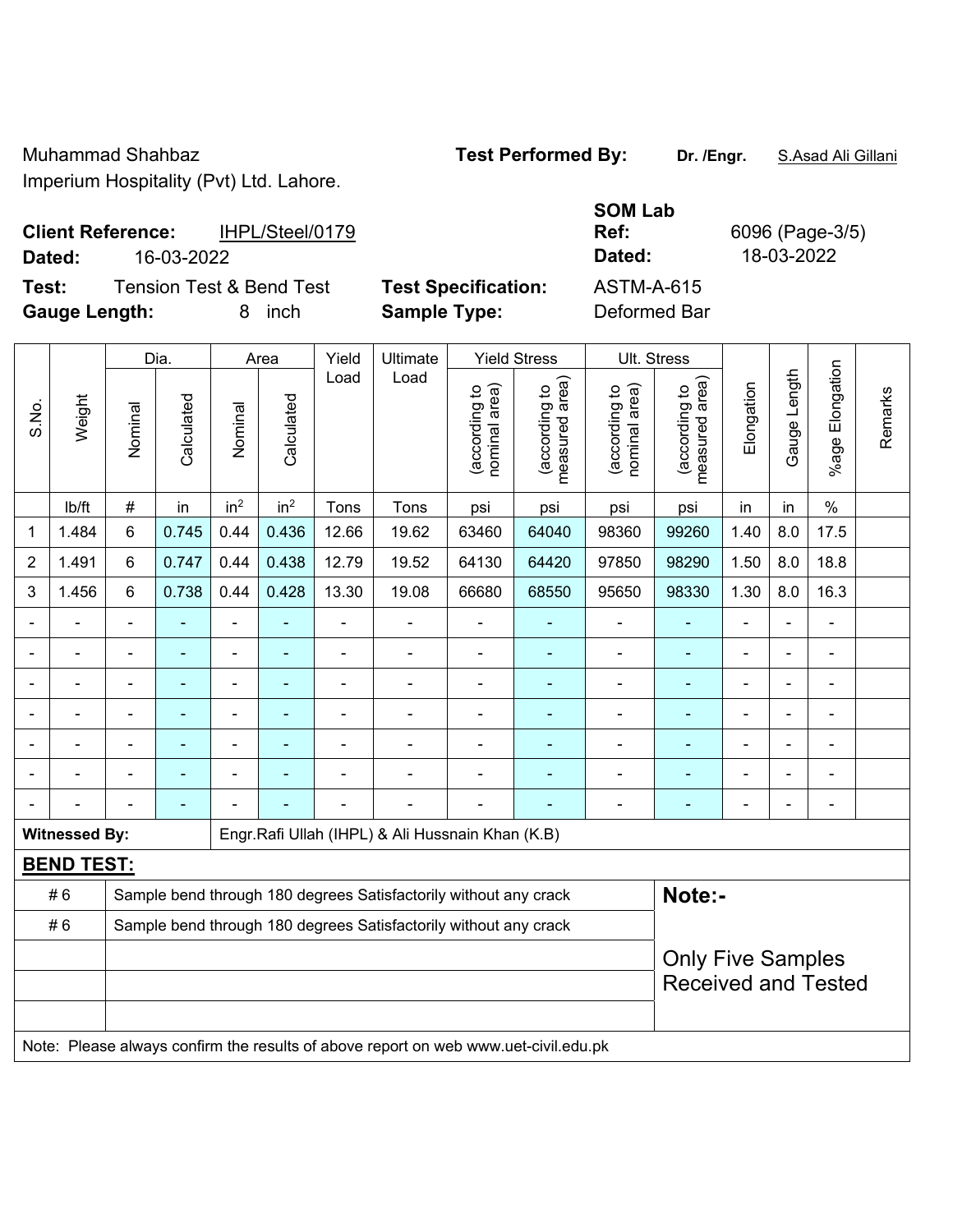### **Client Reference:** IHPL/Steel/0179 **Dated:** 16-03-2022 **Dated:** 18-03-2022

**Test:** Tension Test & Bend Test **Test Specification:** ASTM-A-615 **Gauge Length:** 8 inch **Sample Type:** Deformed Bar

Dia. | Area | Yield | Ultimate | Yield Stress | Ult. Stress

**SOM Lab Ref:** 6096 (Page-3/5)

Remarks

Remarks

|       |                      |                                                                  | Dia.       |                 | Area            |                          | Ultimate                                                         |                                   | Yield Stress                       | UII. Stress                    |                                                        |            |                |                       |  |  |
|-------|----------------------|------------------------------------------------------------------|------------|-----------------|-----------------|--------------------------|------------------------------------------------------------------|-----------------------------------|------------------------------------|--------------------------------|--------------------------------------------------------|------------|----------------|-----------------------|--|--|
| S.No. | Weight               | Nominal                                                          | Calculated | Nominal         | Calculated      | Load                     | Load                                                             | area)<br>(according to<br>nominal | area)<br>(according to<br>measured | (according to<br>nominal area) | measured area)<br>(according to                        | Elongation | Gauge Length   | Elongation<br>$%$ age |  |  |
|       | lb/ft                | #                                                                | in         | in <sup>2</sup> | in <sup>2</sup> | Tons                     | Tons                                                             | psi                               | psi                                | psi                            | psi                                                    | in         | in             | $\%$                  |  |  |
| 1     | 1.484                | 6                                                                | 0.745      | 0.44            | 0.436           | 12.66                    | 19.62                                                            | 63460                             | 64040                              | 98360                          | 99260                                                  | 1.40       | 8.0            | 17.5                  |  |  |
| 2     | 1.491                | 6                                                                | 0.747      | 0.44            | 0.438           | 12.79                    | 19.52                                                            | 64130                             | 64420                              | 97850                          | 98290                                                  | 1.50       | 8.0            | 18.8                  |  |  |
| 3     | 1.456                | 6                                                                | 0.738      | 0.44            | 0.428           | 13.30                    | 19.08                                                            | 66680                             | 68550                              | 95650                          | 98330                                                  | 1.30       | 8.0            | 16.3                  |  |  |
|       |                      | $\blacksquare$                                                   |            |                 |                 |                          | $\qquad \qquad \blacksquare$                                     |                                   |                                    |                                |                                                        |            |                |                       |  |  |
|       |                      |                                                                  |            |                 |                 |                          | $\qquad \qquad \blacksquare$                                     | $\overline{a}$                    |                                    |                                |                                                        |            |                | ۰                     |  |  |
|       |                      |                                                                  |            |                 |                 | $\overline{\phantom{a}}$ | $\overline{\phantom{a}}$                                         | $\blacksquare$                    |                                    |                                |                                                        |            | $\blacksquare$ | ۰                     |  |  |
|       |                      |                                                                  |            |                 |                 |                          |                                                                  |                                   |                                    |                                |                                                        |            |                |                       |  |  |
|       |                      |                                                                  |            |                 |                 |                          | $\blacksquare$                                                   |                                   |                                    |                                |                                                        |            | L,             |                       |  |  |
|       |                      |                                                                  |            |                 |                 |                          |                                                                  |                                   |                                    |                                |                                                        |            |                |                       |  |  |
|       |                      |                                                                  |            |                 |                 |                          |                                                                  |                                   |                                    |                                |                                                        |            | L.             | $\blacksquare$        |  |  |
|       | <b>Witnessed By:</b> |                                                                  |            |                 |                 |                          | Engr. Rafi Ullah (IHPL) & Ali Hussnain Khan (K.B)                |                                   |                                    |                                |                                                        |            |                |                       |  |  |
|       | <b>BEND TEST:</b>    |                                                                  |            |                 |                 |                          |                                                                  |                                   |                                    |                                |                                                        |            |                |                       |  |  |
|       | #6                   |                                                                  |            |                 |                 |                          | Sample bend through 180 degrees Satisfactorily without any crack |                                   |                                    |                                | Note:-                                                 |            |                |                       |  |  |
|       | #6                   | Sample bend through 180 degrees Satisfactorily without any crack |            |                 |                 |                          |                                                                  |                                   |                                    |                                |                                                        |            |                |                       |  |  |
|       |                      |                                                                  |            |                 |                 |                          |                                                                  |                                   |                                    |                                | <b>Only Five Samples</b><br><b>Received and Tested</b> |            |                |                       |  |  |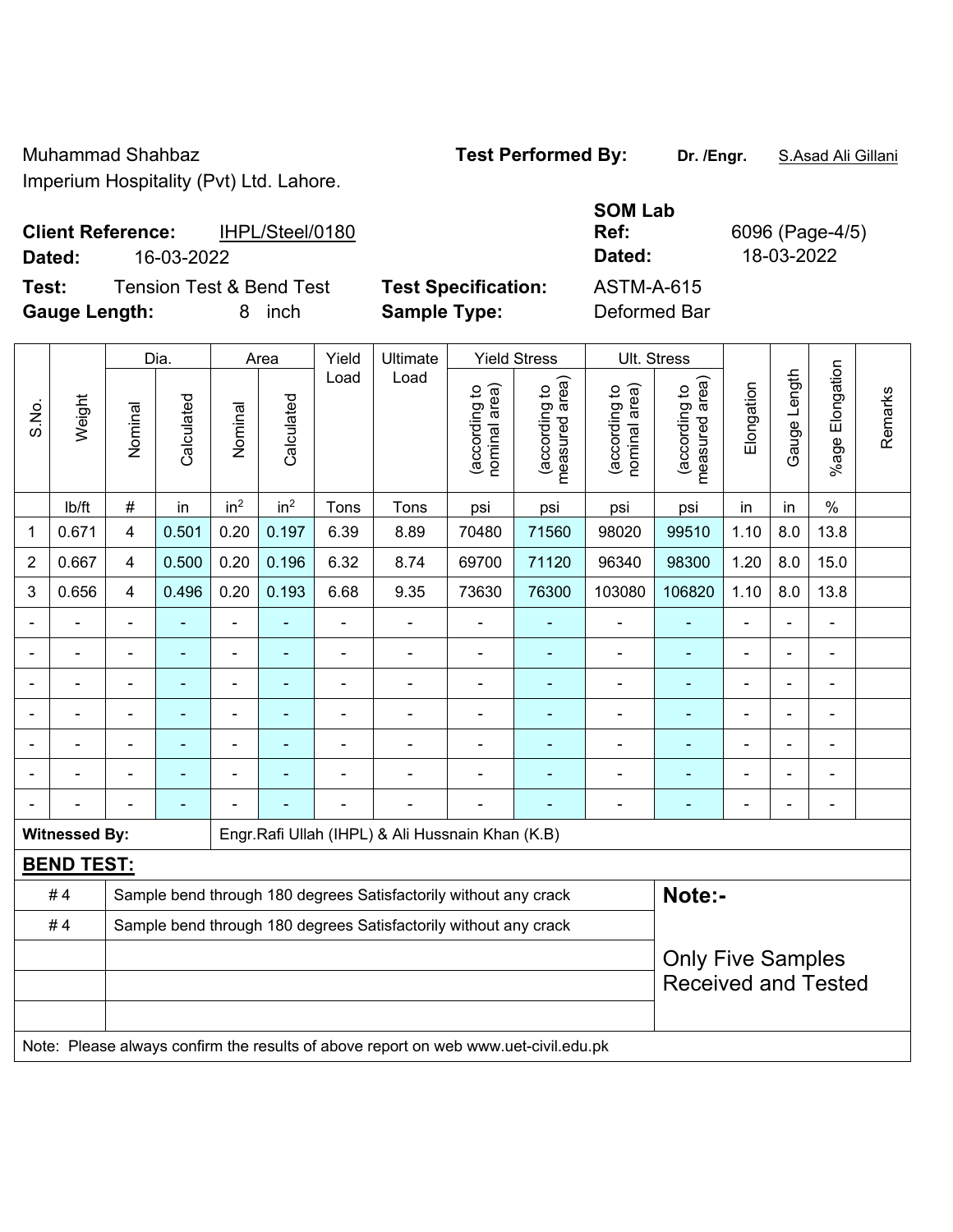Muhammad Shahbaz **Test Performed By: Dr. /Engr.** S.Asad Ali Gillani

Imperium Hospitality (Pvt) Ltd. Lahore.

## **Client Reference:** IHPL/Steel/0180 **Dated:** 16-03-2022 **Dated:** 18-03-2022

**Test:** Tension Test & Bend Test **Test Specification: Gauge Length:** 8 inch **Sample Type:** Deformed Bar

| <b>SOM Lab</b> |   |
|----------------|---|
| Ref:           | F |
| Dated:         |   |
| ASTM-A-615     |   |

**Ref:** 6096 (Page-4/5)

Dia. | Area | Yield | Ultimate | Yield Stress | Ult. Stress %age Elongation %age Elongation Gauge Length Load Load Gauge Length (according to<br>measured area) measured area) (according to<br>measured area) measured area) (according to<br>nominal area) (according to<br>nominal area) **Elongation** nominal area) nominal area) Elongation (according to (according to (according to (according to Remarks Remarks **Calculated Calculated** Weight Calculated Calculated S.No. Nominal Nominal Vominal Vominal <code>ib/ft</code>  $\mid$  #  $\mid$  in  $\mid$  in<sup>2</sup>  $\mid$  in<sup>2</sup>  $\mid$  Tons  $\mid$  psi  $\mid$  psi  $\mid$  psi  $\mid$  psi  $\mid$  in  $\mid$  in  $\mid$  % 1 | 0.671 | 4 | 0.501 | 0.20 | 0.197 | 6.39 | 8.89 | 70480 | 71560 | 98020 | 99510 | 1.10 | 8.0 | 13.8 2 | 0.667 | 4 | 0.500 | 0.20 | 0.196 | 6.32 | 8.74 | 69700 | 71120 | 96340 | 98300 | 1.20 | 8.0 | 15.0 3 | 0.656 | 4 | 0.496 | 0.20 | 0.193 | 6.68 | 9.35 | 73630 | 76300 | 103080 | 106820 | 1.10 | 8.0 | 13.8 - - - - - - - - - - - - - - - - - - - - - - - - - - - - - - - - - - - - - - - - - - - - - - - - - - - - - - - - - - - - - - - - - - - - - - - - - - - - - - - - - - - - - - - - - - - - - - - - - - - - - - - - - **Witnessed By: Engr.Rafi Ullah (IHPL) & Ali Hussnain Khan (K.B) BEND TEST:**  # 4 Sample bend through 180 degrees Satisfactorily without any crack **Note:-**#4 Sample bend through 180 degrees Satisfactorily without any crack Only Five Samples

Received and Tested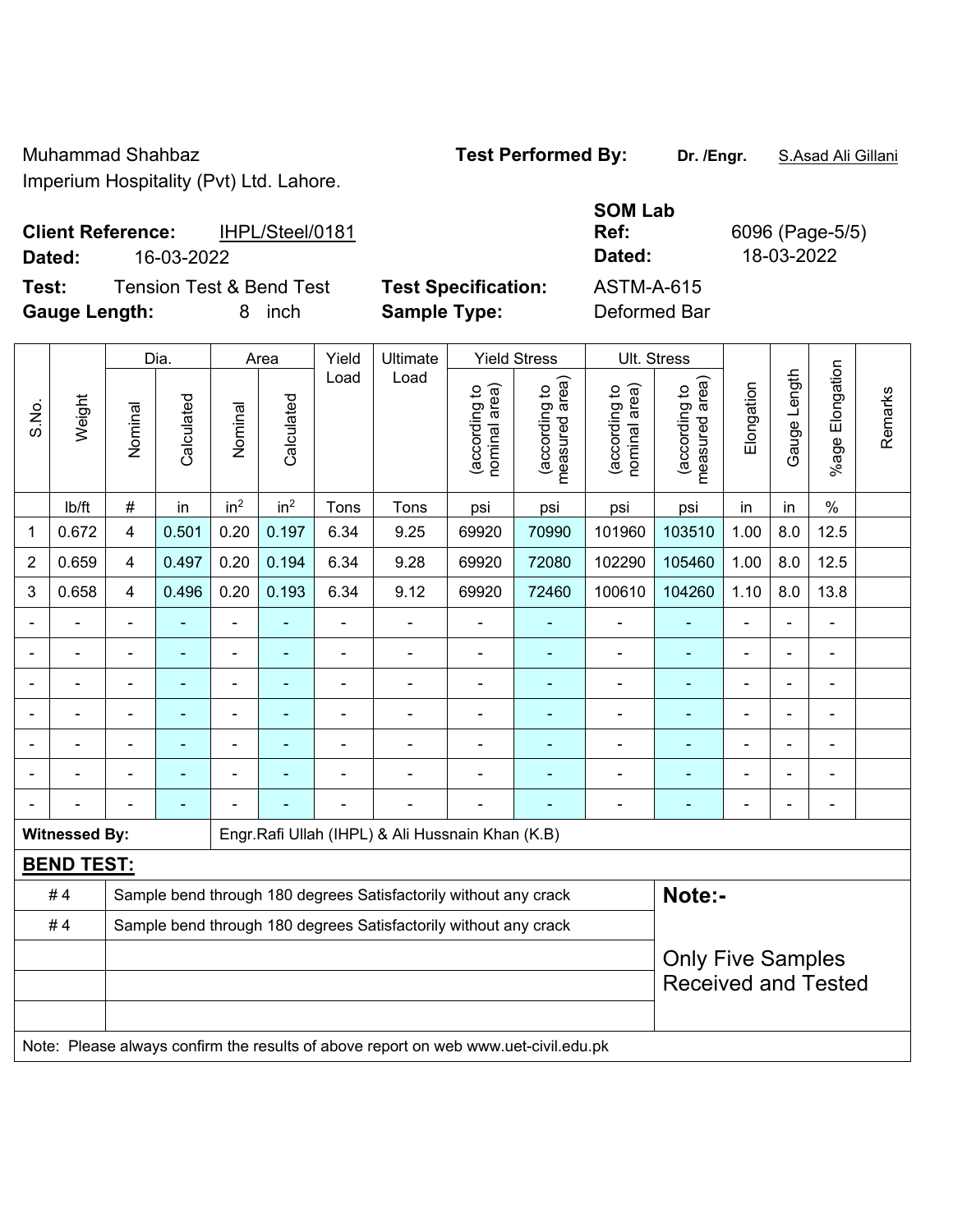## **Client Reference:** IHPL/Steel/0181 **Dated:** 16-03-2022 **Dated:** 18-03-2022

**Test:** Tension Test & Bend Test **Test Specification:** 

**Gauge Length:** 8 inch **Sample Type:** Deformed Bar

| <b>SOM Lab</b> |   |
|----------------|---|
| Ref:           | 6 |
| Dated:         |   |
| ASTM-A-615     |   |

**Ref:** 6096 (Page-5/5)

| Elongation<br>Gauge Length<br>Load<br>Load<br>measured area)<br>(according to<br>measured area)<br>Elongation<br>nominal area)<br>nominal area)<br>(according to<br>(according to<br>(according to<br>Weight<br>Calculated<br>Calculated<br>S.No.<br>Nominal<br>Nominal | Remarks |
|-------------------------------------------------------------------------------------------------------------------------------------------------------------------------------------------------------------------------------------------------------------------------|---------|
| %age                                                                                                                                                                                                                                                                    |         |
| in <sup>2</sup><br>in <sup>2</sup><br>$\frac{0}{0}$<br>$\#$<br>lb/ft<br>in<br>in<br>Tons<br>Tons<br>in<br>psi<br>psi<br>psi<br>psi                                                                                                                                      |         |
| 0.501<br>0.20<br>0.197<br>6.34<br>69920<br>70990<br>101960<br>103510<br>1.00<br>8.0<br>12.5<br>0.672<br>$\overline{4}$<br>9.25<br>1                                                                                                                                     |         |
| 0.497<br>0.194<br>6.34<br>72080<br>102290<br>1.00<br>8.0<br>12.5<br>0.659<br>0.20<br>9.28<br>69920<br>105460<br>2<br>$\overline{4}$                                                                                                                                     |         |
| 0.496<br>6.34<br>13.8<br>0.658<br>0.20<br>0.193<br>9.12<br>69920<br>72460<br>100610<br>104260<br>1.10<br>8.0<br>3<br>$\overline{4}$                                                                                                                                     |         |
|                                                                                                                                                                                                                                                                         |         |
| $\qquad \qquad \blacksquare$<br>L,<br>÷,<br>$\blacksquare$<br>$\blacksquare$<br>$\blacksquare$<br>ä,<br>$\overline{\phantom{a}}$<br>$\blacksquare$<br>$\blacksquare$<br>$\blacksquare$<br>$\blacksquare$                                                                |         |
| ÷,<br>÷,<br>$\blacksquare$<br>L,<br>÷,<br>$\blacksquare$<br>$\blacksquare$<br>Ē,<br>÷.<br>$\blacksquare$<br>$\blacksquare$<br>ä,<br>$\blacksquare$                                                                                                                      |         |
| $\blacksquare$<br>$\blacksquare$<br>$\blacksquare$<br>÷,<br>$\blacksquare$<br>Ē,<br>$\blacksquare$<br>$\blacksquare$<br>$\blacksquare$<br>$\blacksquare$<br>$\overline{\phantom{a}}$<br>٠                                                                               |         |
| $\blacksquare$<br>$\blacksquare$<br>$\blacksquare$<br>÷,<br>$\blacksquare$<br>ä,<br>$\blacksquare$<br>$\blacksquare$                                                                                                                                                    |         |
|                                                                                                                                                                                                                                                                         |         |
| $\blacksquare$<br>$\blacksquare$<br>$\blacksquare$                                                                                                                                                                                                                      |         |
| Engr.Rafi Ullah (IHPL) & Ali Hussnain Khan (K.B)<br><b>Witnessed By:</b>                                                                                                                                                                                                |         |
| <b>BEND TEST:</b>                                                                                                                                                                                                                                                       |         |
| #4<br>Note:-<br>Sample bend through 180 degrees Satisfactorily without any crack                                                                                                                                                                                        |         |
| #4<br>Sample bend through 180 degrees Satisfactorily without any crack                                                                                                                                                                                                  |         |
| <b>Only Five Samples</b><br><b>Received and Tested</b>                                                                                                                                                                                                                  |         |
|                                                                                                                                                                                                                                                                         |         |
| Note: Please always confirm the results of above report on web www.uet-civil.edu.pk                                                                                                                                                                                     |         |